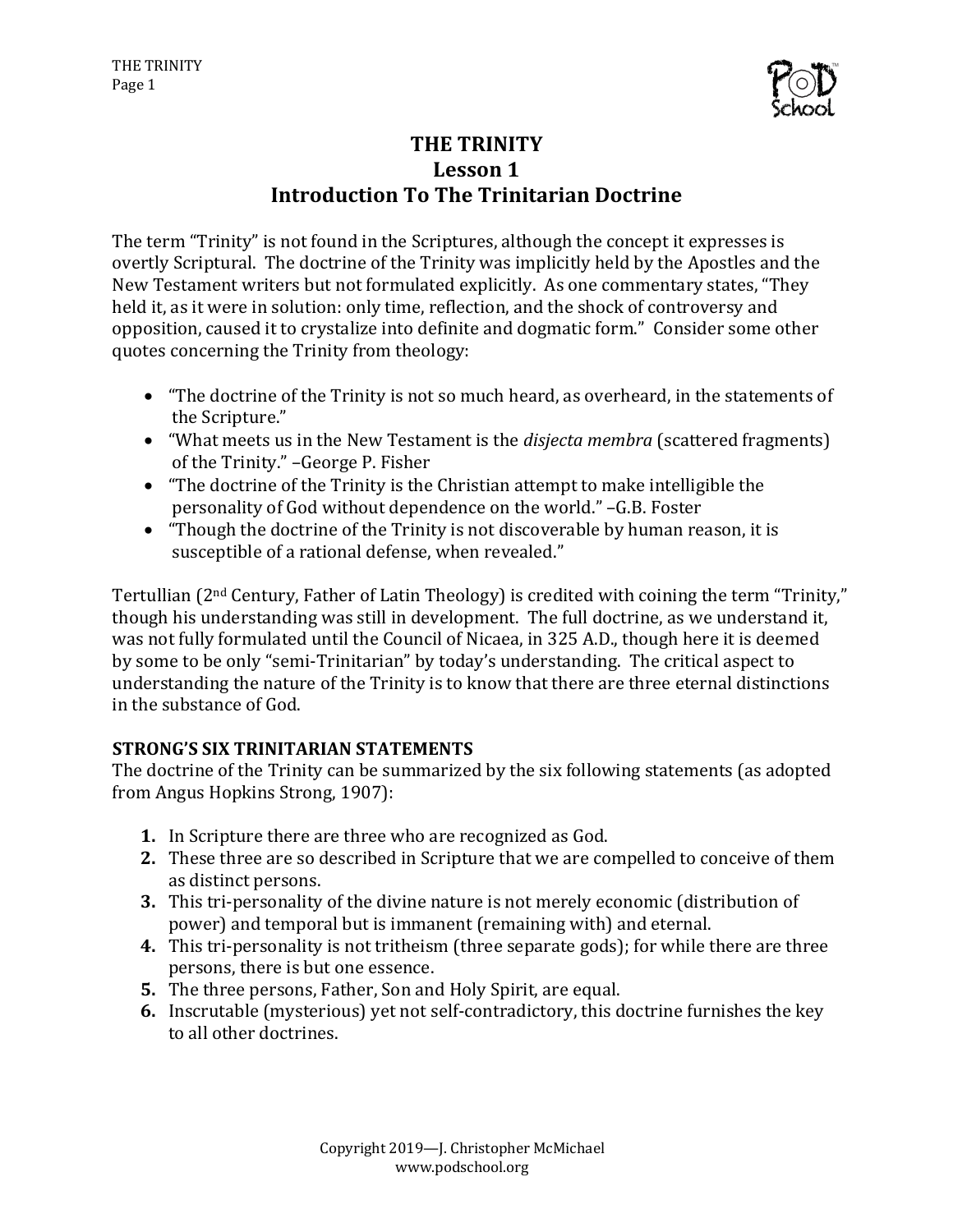

# **THE TRINITY** Lesson 1 **Introduction To The Trinitarian Doctrine**

The term "Trinity" is not found in the Scriptures, although the concept it expresses is overtly Scriptural. The doctrine of the Trinity was implicitly held by the Apostles and the New Testament writers but not formulated explicitly. As one commentary states, "They held it, as it were in solution: only time, reflection, and the shock of controversy and opposition, caused it to crystalize into definite and dogmatic form." Consider some other quotes concerning the Trinity from theology:

- "The doctrine of the Trinity is not so much heard, as overheard, in the statements of the Scripture."
- "What meets us in the New Testament is the *disjecta membra* (scattered fragments) of the Trinity." -George P. Fisher
- "The doctrine of the Trinity is the Christian attempt to make intelligible the personality of God without dependence on the world." -G.B. Foster
- "Though the doctrine of the Trinity is not discoverable by human reason, it is susceptible of a rational defense, when revealed."

Tertullian (2<sup>nd</sup> Century, Father of Latin Theology) is credited with coining the term "Trinity," though his understanding was still in development. The full doctrine, as we understand it, was not fully formulated until the Council of Nicaea, in 325 A.D., though here it is deemed by some to be only "semi-Trinitarian" by today's understanding. The critical aspect to understanding the nature of the Trinity is to know that there are three eternal distinctions in the substance of God.

# **STRONG'S SIX TRINITARIAN STATEMENTS**

The doctrine of the Trinity can be summarized by the six following statements (as adopted from Angus Hopkins Strong, 1907):

- **1.** In Scripture there are three who are recognized as God.
- **2.** These three are so described in Scripture that we are compelled to conceive of them as distinct persons.
- **3.** This tri-personality of the divine nature is not merely economic (distribution of power) and temporal but is immanent (remaining with) and eternal.
- **4.** This tri-personality is not tritheism (three separate gods); for while there are three persons, there is but one essence.
- **5.** The three persons, Father, Son and Holy Spirit, are equal.
- **6.** Inscrutable (mysterious) yet not self-contradictory, this doctrine furnishes the key to all other doctrines.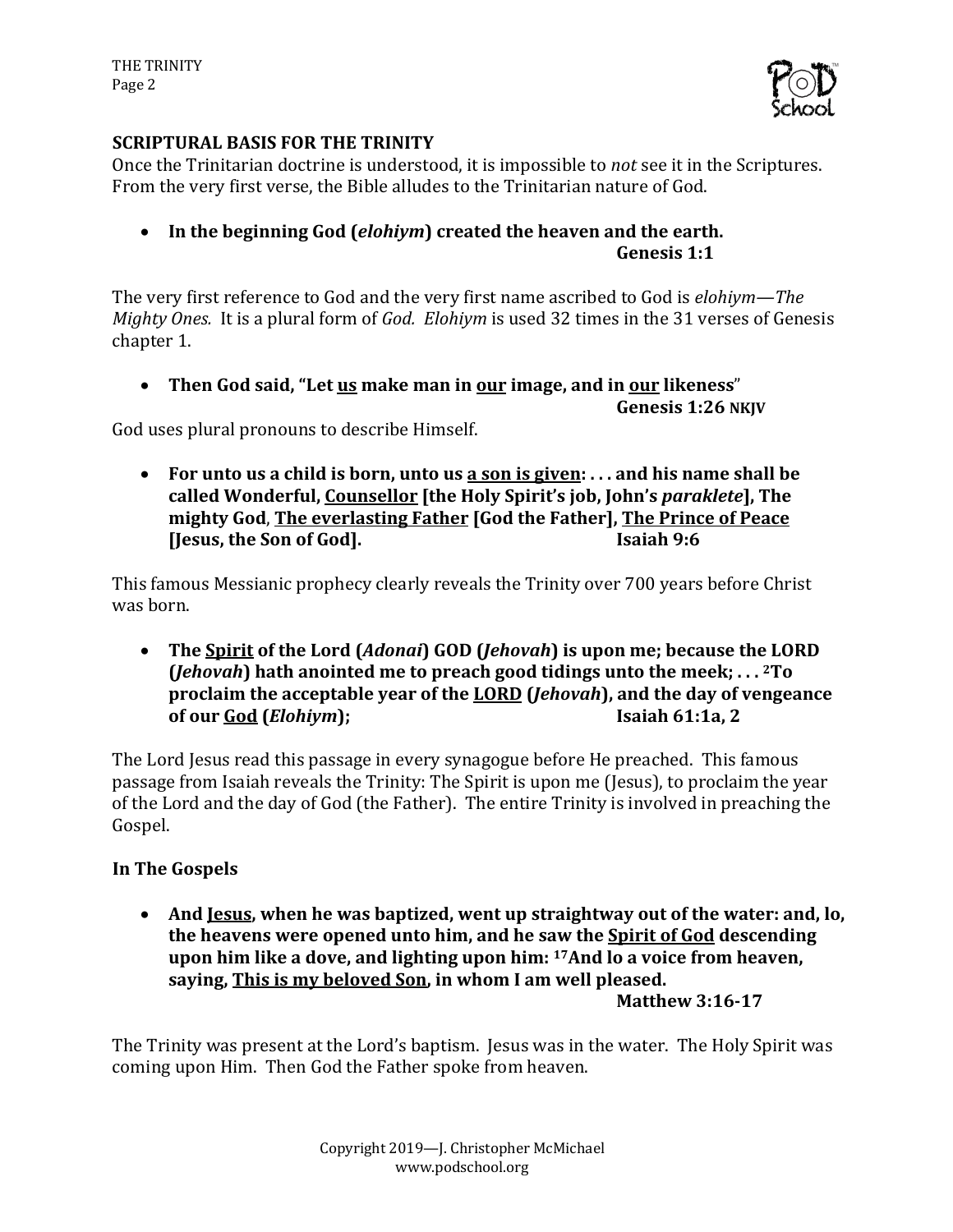

## **SCRIPTURAL BASIS FOR THE TRINITY**

Once the Trinitarian doctrine is understood, it is impossible to *not* see it in the Scriptures. From the very first verse, the Bible alludes to the Trinitarian nature of God.

• In the beginning God (*elohiym*) created the heaven and the earth. **Genesis 1:1**

The very first reference to God and the very first name ascribed to God is *elohiym—The Mighty Ones.* It is a plural form of *God. Elohiym* is used 32 times in the 31 verses of Genesis chapter 1.

• Then God said, "Let us make man in our image, and in our likeness"

**Genesis 1:26 NKJV**

God uses plural pronouns to describe Himself.

• For unto us a child is born, unto us a son is given: ... and his name shall be called Wonderful, Counsellor [the Holy Spirit's job, John's paraklete], The **mighty God**, **The everlasting Father [God the Father], The Prince of Peace If I go as Isaiah 9:6 Isaiah 9:6** 

This famous Messianic prophecy clearly reveals the Trinity over 700 years before Christ was born.

• The Spirit of the Lord (*Adonai*) GOD (*Jehovah*) is upon me; because the LORD  $(Jehoval)$  hath anointed me to preach good tidings unto the meek;  $\ldots$  <sup>2</sup>To **proclaim the acceptable vear of the LORD (***Jehovah***), and the day of vengeance of our God (***Elohiym***); Isaiah 61:1a, 2**

The Lord Jesus read this passage in every synagogue before He preached. This famous passage from Isaiah reveals the Trinity: The Spirit is upon me (Jesus), to proclaim the year of the Lord and the day of God (the Father). The entire Trinity is involved in preaching the Gospel.

# **In The Gospels**

• And <u>Jesus</u>, when he was baptized, went up straightway out of the water: and, lo, **the heavens were opened unto him, and he saw the Spirit of God descending** upon him like a dove, and lighting upon him: <sup>17</sup>And lo a voice from heaven, saying, This is my beloved Son, in whom I am well pleased.

**Matthew 3:16-17**

The Trinity was present at the Lord's baptism. Jesus was in the water. The Holy Spirit was coming upon Him. Then God the Father spoke from heaven.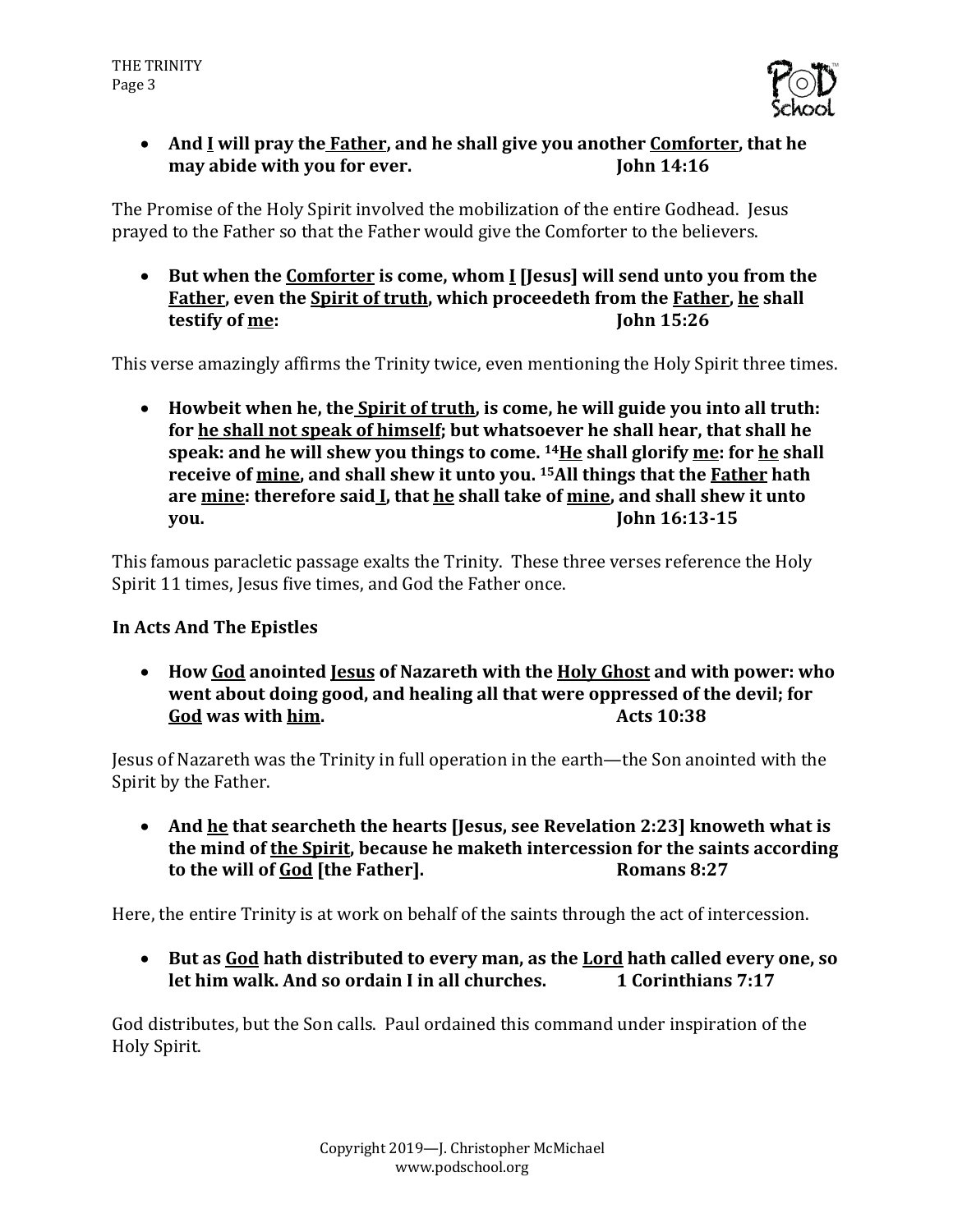

• And I will pray the Father, and he shall give you another Comforter, that he **may abide with you for ever. John 14:16** 

The Promise of the Holy Spirit involved the mobilization of the entire Godhead. Jesus prayed to the Father so that the Father would give the Comforter to the believers.

• But when the Comforter is come, whom I [Jesus] will send unto you from the Father, even the **Spirit of truth**, which proceedeth from the **Father**, he shall **testify** of <u>me</u>: **Comparison John 15:26** 

This verse amazingly affirms the Trinity twice, even mentioning the Holy Spirit three times.

• Howbeit when he, the **Spirit of truth**, is come, he will guide you into all truth: for he shall not speak of himself; but whatsoever he shall hear, that shall he **speak: and he will shew you things to come.** <sup>14</sup>He shall glorify me: for he shall **receive of mine, and shall shew it unto you.** <sup>15</sup>All things that the **Father** hath are mine: therefore said **I**, that he shall take of mine, and shall shew it unto **you. John 16:13-15** 

This famous paracletic passage exalts the Trinity. These three verses reference the Holy Spirit 11 times, Jesus five times, and God the Father once.

### **In Acts And The Epistles**

• **How God anointed Jesus of Nazareth with the Holy Ghost and with power: who**  went about doing good, and healing all that were oppressed of the devil; for **God** was with him. **Compared Acts** 10:38

Jesus of Nazareth was the Trinity in full operation in the earth—the Son anointed with the Spirit by the Father.

• And <u>he</u> that searcheth the hearts (Jesus, see Revelation 2:23) knoweth what is the mind of the Spirit, because he maketh intercession for the saints according to the will of God [the Father]. Romans 8:27

Here, the entire Trinity is at work on behalf of the saints through the act of intercession.

• But as God hath distributed to every man, as the Lord hath called every one, so **let him walk. And so ordain I in all churches. 1** Corinthians 7:17

God distributes, but the Son calls. Paul ordained this command under inspiration of the Holy Spirit.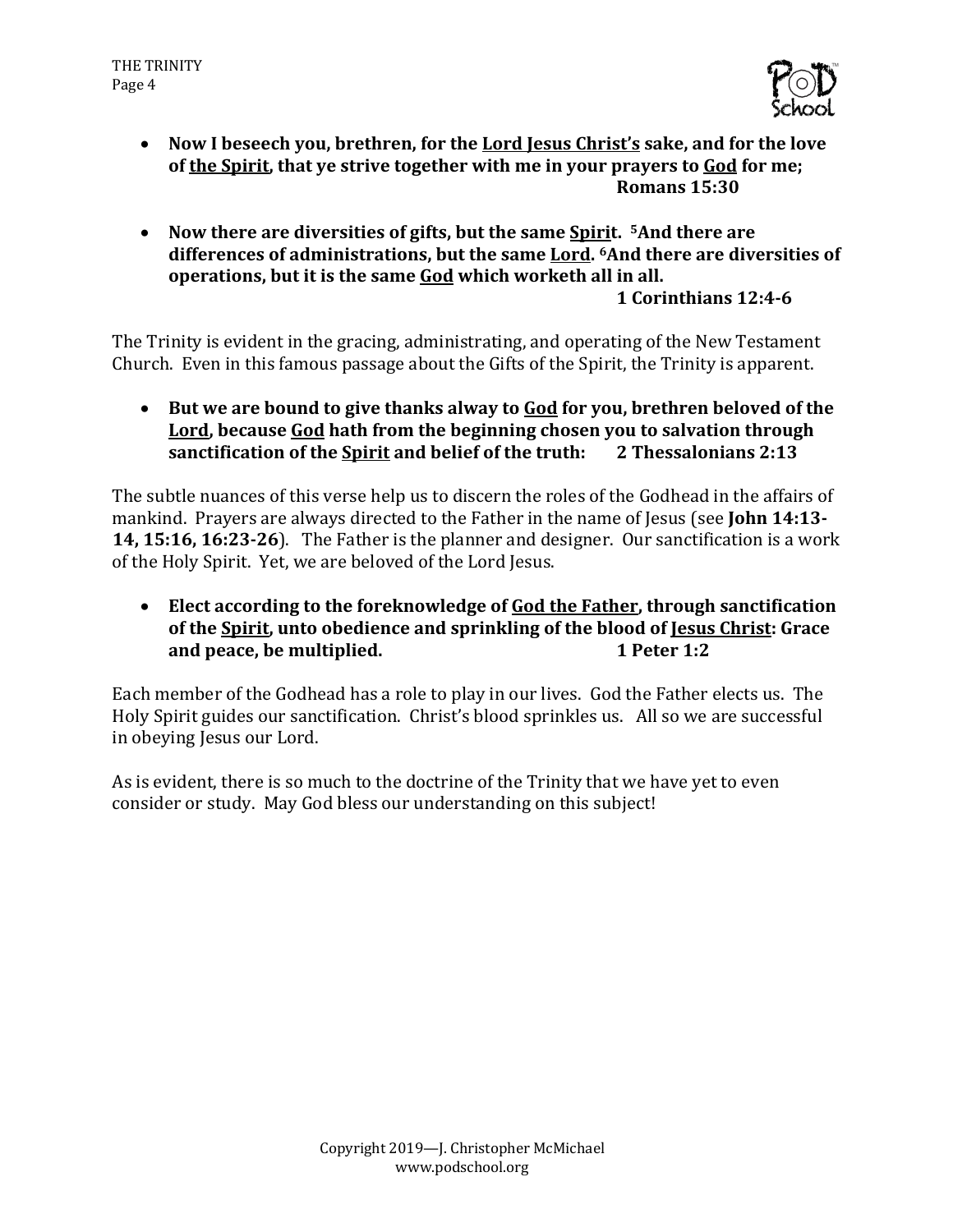

- Now I beseech you, brethren, for the Lord Jesus Christ's sake, and for the love of the Spirit, that ye strive together with me in your prayers to God for me; **Romans 15:30**
- Now there are diversities of gifts, but the same Spirit. <sup>5</sup>And there are differences of administrations, but the same Lord. <sup>6</sup>And there are diversities of **operations, but it is the same God which worketh all in all. 1 Corinthians 12:4-6**

The Trinity is evident in the gracing, administrating, and operating of the New Testament Church. Even in this famous passage about the Gifts of the Spirit, the Trinity is apparent.

• But we are bound to give thanks alway to **God** for you, brethren beloved of the Lord, because God hath from the beginning chosen you to salvation through **sanctification of the Spirit and belief of the truth:** 2 Thessalonians 2:13

The subtle nuances of this verse help us to discern the roles of the Godhead in the affairs of mankind. Prayers are always directed to the Father in the name of Jesus (see **John 14:13-14, 15:16, 16:23-26**). The Father is the planner and designer. Our sanctification is a work of the Holy Spirit. Yet, we are beloved of the Lord Jesus.

• Elect according to the foreknowledge of God the Father, through sanctification of the Spirit, unto obedience and sprinkling of the blood of Jesus Christ: Grace **and peace, be multiplied. 1** Peter 1:2

Each member of the Godhead has a role to play in our lives. God the Father elects us. The Holy Spirit guides our sanctification. Christ's blood sprinkles us. All so we are successful in obeying Jesus our Lord.

As is evident, there is so much to the doctrine of the Trinity that we have yet to even consider or study. May God bless our understanding on this subject!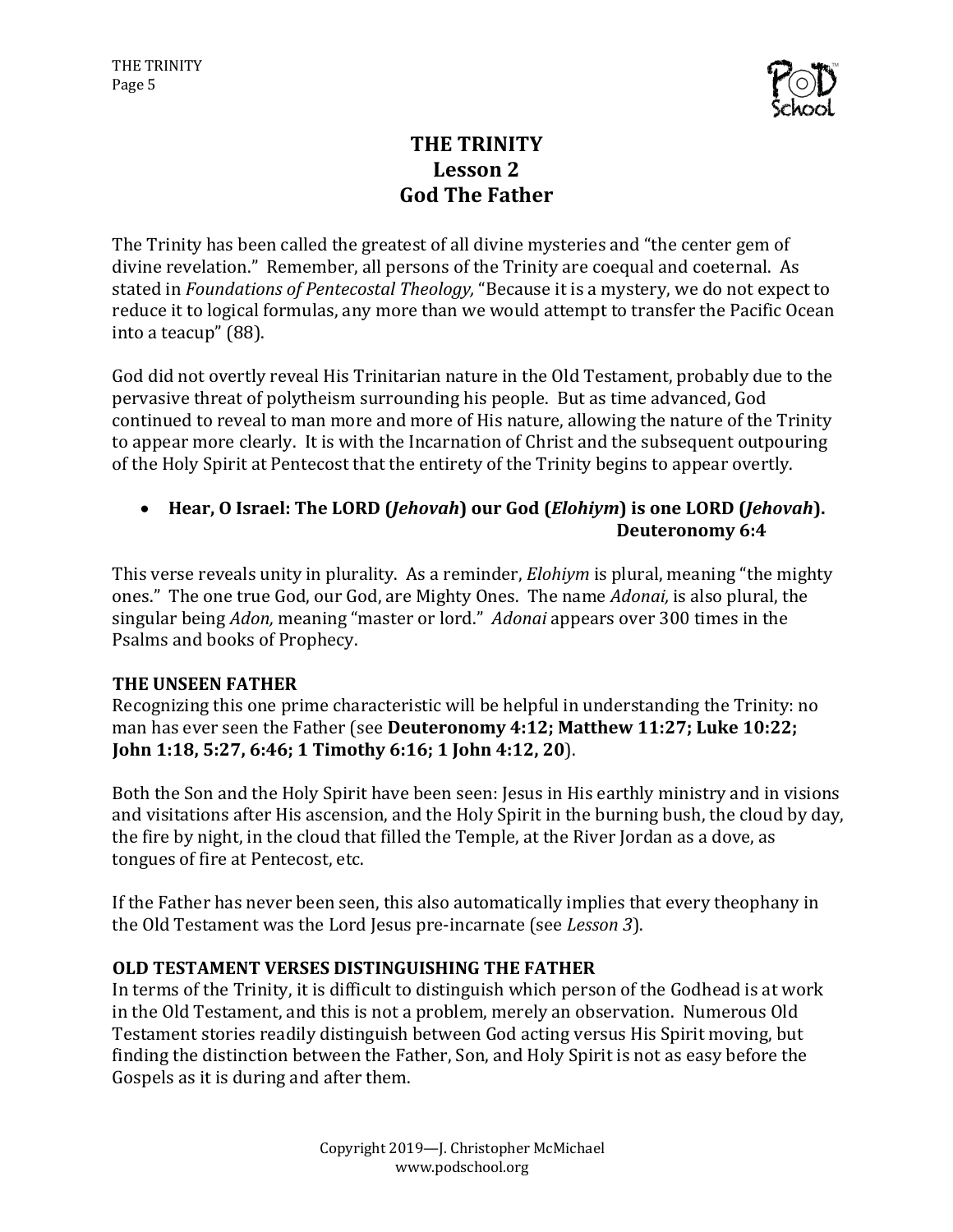

# **THE TRINITY** Lesson 2 **God The Father**

The Trinity has been called the greatest of all divine mysteries and "the center gem of divine revelation." Remember, all persons of the Trinity are coequal and coeternal. As stated in *Foundations of Pentecostal Theology*, "Because it is a mystery, we do not expect to reduce it to logical formulas, any more than we would attempt to transfer the Pacific Ocean into a teacup" (88).

God did not overtly reveal His Trinitarian nature in the Old Testament, probably due to the pervasive threat of polytheism surrounding his people. But as time advanced, God continued to reveal to man more and more of His nature, allowing the nature of the Trinity to appear more clearly. It is with the Incarnation of Christ and the subsequent outpouring of the Holy Spirit at Pentecost that the entirety of the Trinity begins to appear overtly.

### • Hear, O Israel: The LORD (*Jehovah*) our God (*Elohiym*) is one LORD (*Jehovah*). **Deuteronomy 6:4**

This verse reveals unity in plurality. As a reminder, *Elohiym* is plural, meaning "the mighty ones." The one true God, our God, are Mighty Ones. The name *Adonai*, is also plural, the singular being *Adon*, meaning "master or lord." *Adonai* appears over 300 times in the Psalms and books of Prophecy.

#### **THE UNSEEN FATHER**

Recognizing this one prime characteristic will be helpful in understanding the Trinity: no man has ever seen the Father (see Deuteronomy 4:12; Matthew 11:27; Luke 10:22; **John 1:18, 5:27, 6:46; 1 Timothy 6:16; 1 John 4:12, 20**). 

Both the Son and the Holy Spirit have been seen: Jesus in His earthly ministry and in visions and visitations after His ascension, and the Holy Spirit in the burning bush, the cloud by day, the fire by night, in the cloud that filled the Temple, at the River Jordan as a dove, as tongues of fire at Pentecost, etc.

If the Father has never been seen, this also automatically implies that every theophany in the Old Testament was the Lord Jesus pre-incarnate (see *Lesson 3*).

#### **OLD TESTAMENT VERSES DISTINGUISHING THE FATHER**

In terms of the Trinity, it is difficult to distinguish which person of the Godhead is at work in the Old Testament, and this is not a problem, merely an observation. Numerous Old Testament stories readily distinguish between God acting versus His Spirit moving, but finding the distinction between the Father, Son, and Holy Spirit is not as easy before the Gospels as it is during and after them.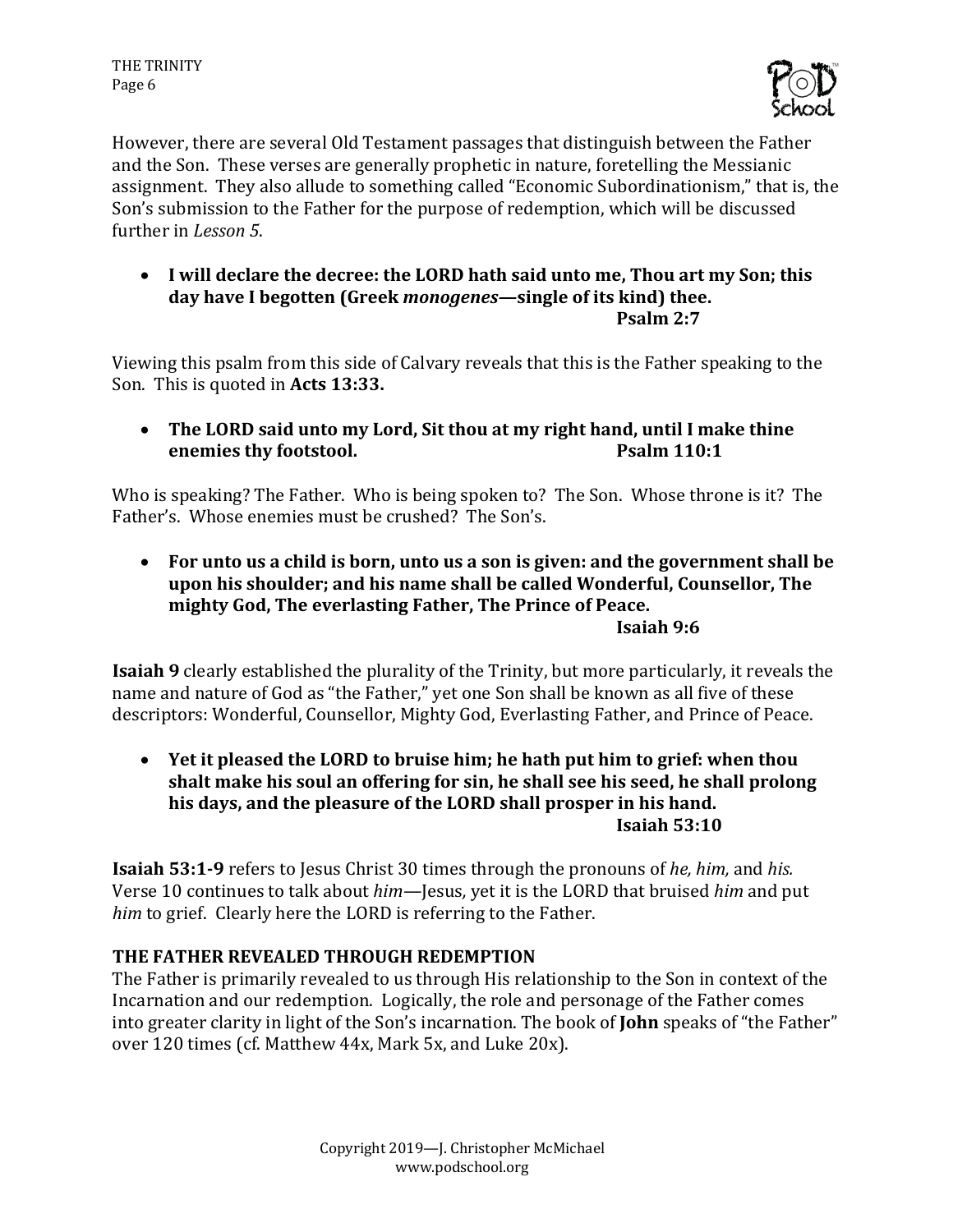

However, there are several Old Testament passages that distinguish between the Father and the Son. These verses are generally prophetic in nature, foretelling the Messianic assignment. They also allude to something called "Economic Subordinationism," that is, the Son's submission to the Father for the purpose of redemption, which will be discussed further in *Lesson 5*.

• I will declare the decree: the LORD hath said unto me, Thou art my Son; this day have I begotten (Greek *monogenes*—single of its kind) thee. **Psalm 2:7**

Viewing this psalm from this side of Calvary reveals that this is the Father speaking to the Son. This is quoted in Acts 13:33.

• The LORD said unto my Lord, Sit thou at my right hand, until I make thine **enemies thy footstool. Psalm 110:1** 

Who is speaking? The Father. Who is being spoken to? The Son. Whose throne is it? The Father's. Whose enemies must be crushed? The Son's.

• For unto us a child is born, unto us a son is given: and the government shall be upon his shoulder; and his name shall be called Wonderful, Counsellor, The mighty God, The everlasting Father, The Prince of Peace.

### **Isaiah 9:6**

**Isaiah 9** clearly established the plurality of the Trinity, but more particularly, it reveals the name and nature of God as "the Father," yet one Son shall be known as all five of these descriptors: Wonderful, Counsellor, Mighty God, Everlasting Father, and Prince of Peace.

• Yet it pleased the LORD to bruise him; he hath put him to grief: when thou shalt make his soul an offering for sin, he shall see his seed, he shall prolong his days, and the pleasure of the LORD shall prosper in his hand. **Isaiah 53:10**

**Isaiah 53:1-9** refers to Jesus Christ 30 times through the pronouns of *he, him,* and *his.* Verse 10 continues to talk about *him*—Jesus, yet it is the LORD that bruised *him* and put *him* to grief. Clearly here the LORD is referring to the Father.

# **THE FATHER REVEALED THROUGH REDEMPTION**

The Father is primarily revealed to us through His relationship to the Son in context of the Incarnation and our redemption. Logically, the role and personage of the Father comes into greater clarity in light of the Son's incarnation. The book of **John** speaks of "the Father" over 120 times (cf. Matthew 44x, Mark 5x, and Luke 20x).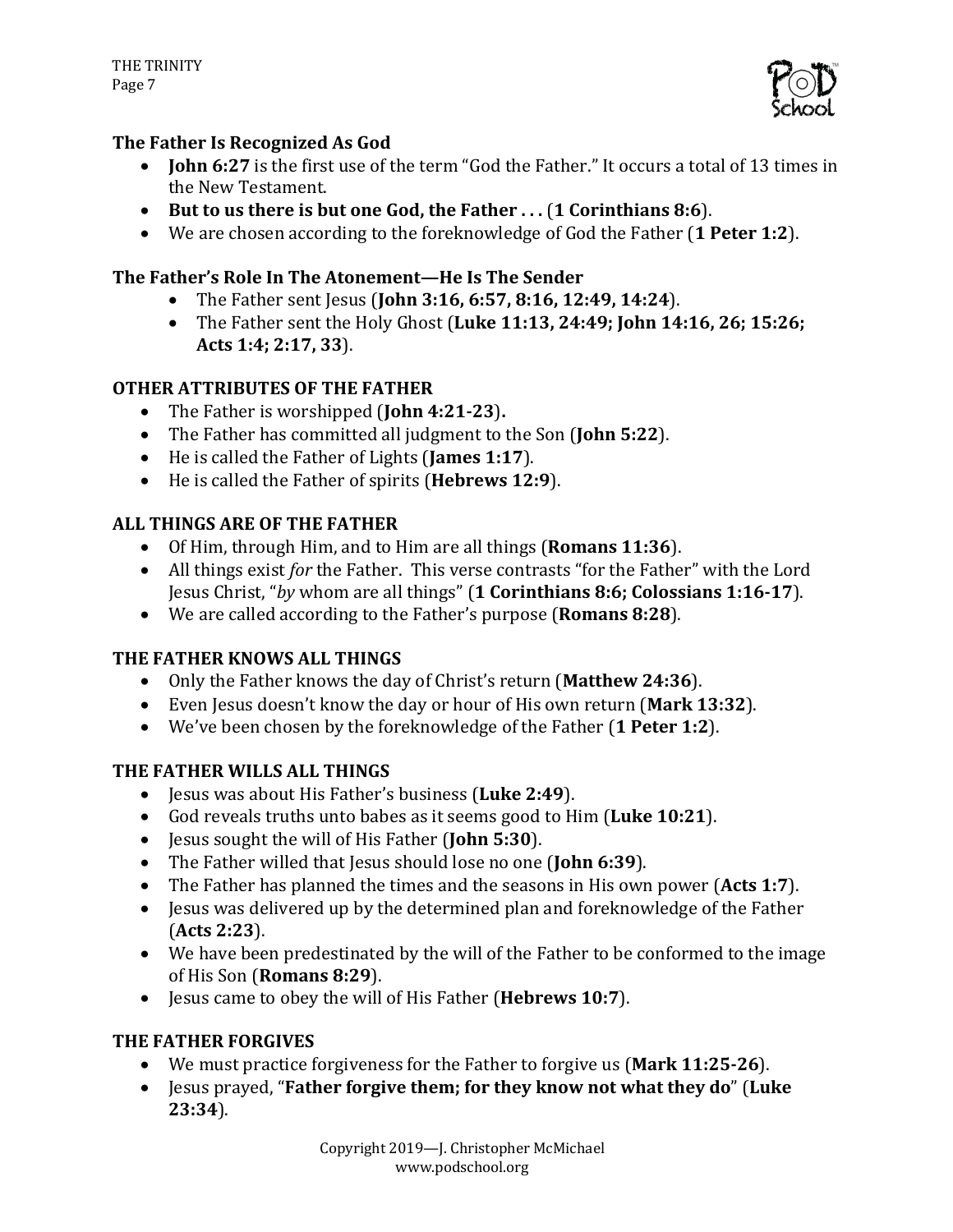

## **The Father Is Recognized As God**

- **John 6:27** is the first use of the term "God the Father." It occurs a total of 13 times in the New Testament.
- But to us there is but one God, the Father . . . (1 Corinthians 8:6).
- We are chosen according to the foreknowledge of God the Father (1 Peter 1:2).

### The Father's Role In The Atonement—He Is The Sender

- The Father sent Jesus (John 3:16, 6:57, 8:16, 12:49, 14:24).
- The Father sent the Holy Ghost (Luke 11:13, 24:49; John 14:16, 26; 15:26; **Acts 1:4; 2:17, 33**).

## **OTHER ATTRIBUTES OF THE FATHER**

- The Father is worshipped (**John 4:21-23**).
- The Father has committed all judgment to the Son (**John 5:22**).
- He is called the Father of Lights (James 1:17).
- He is called the Father of spirits (**Hebrews 12:9**).

## **ALL THINGS ARE OF THE FATHER**

- Of Him, through Him, and to Him are all things (**Romans 11:36**).
- All things exist *for* the Father. This verse contrasts "for the Father" with the Lord Jesus Christ, "by whom are all things" (1 Corinthians 8:6; Colossians 1:16-17).
- We are called according to the Father's purpose (**Romans 8:28**).

# **THE FATHER KNOWS ALL THINGS**

- Only the Father knows the day of Christ's return (Matthew 24:36).
- Even Jesus doesn't know the day or hour of His own return (Mark 13:32).
- We've been chosen by the foreknowledge of the Father (1 Peter 1:2).

# **THE FATHER WILLS ALL THINGS**

- Jesus was about His Father's business (Luke 2:49).
- God reveals truths unto babes as it seems good to Him (Luke 10:21).
- Jesus sought the will of His Father (**John 5:30**).
- The Father willed that Jesus should lose no one (**John 6:39**).
- The Father has planned the times and the seasons in His own power (Acts 1:7).
- Jesus was delivered up by the determined plan and foreknowledge of the Father (**Acts 2:23**).
- We have been predestinated by the will of the Father to be conformed to the image of His Son (**Romans 8:29**).
- Jesus came to obey the will of His Father (Hebrews 10:7).

# **THE FATHER FORGIVES**

- We must practice forgiveness for the Father to forgive us (Mark 11:25-26).
- Jesus prayed, "Father forgive them; for they know not what they do" (Luke **23:34**).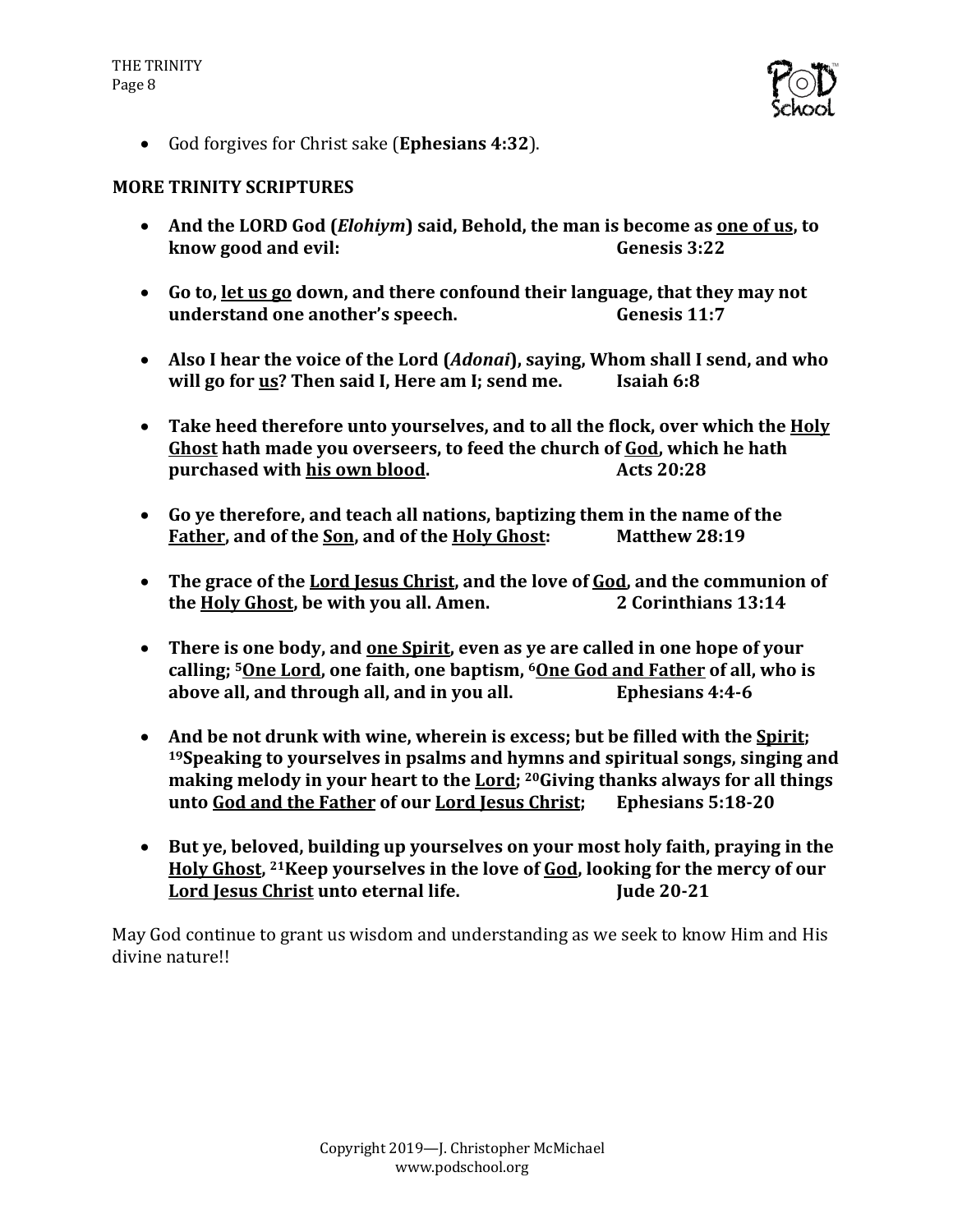

• God forgives for Christ sake (**Ephesians 4:32**).

#### **MORE TRINITY SCRIPTURES**

- And the LORD God *(Elohiym)* said, Behold, the man is become as one of us, to **know good and evil: Genesis 3:22**
- Go to, let us go down, and there confound their language, that they may not **understand one another's speech. Genesis 11:7**
- Also I hear the voice of the Lord (*Adonai*), saying, Whom shall I send, and who **will go for us? Then said I, Here am I; send me. Isaiah 6:8**
- Take heed therefore unto yourselves, and to all the flock, over which the **Holy** Ghost hath made you overseers, to feed the church of God, which he hath **purchased with his own blood.** Acts 20:28
- Go ve therefore, and teach all nations, baptizing them in the name of the **Father, and of the Son, and of the Holy Ghost:** Matthew 28:19
- The grace of the Lord Jesus Christ, and the love of God, and the communion of **the Holy Ghost, be with you all. Amen.** 2 Corinthians 13:14
- There is one body, and <u>one Spirit</u>, even as ye are called in one hope of your calling; <sup>5</sup>One Lord, one faith, one baptism, <sup>6</sup>One God and Father of all, who is **above all, and through all, and in you all.** Ephesians 4:4-6
- And be not drunk with wine, wherein is excess; but be filled with the **Spirit**; <sup>19</sup> Speaking to vourselves in psalms and hymns and spiritual songs, singing and making melody in your heart to the Lord; <sup>20</sup>Giving thanks always for all things **unto God and the Father of our Lord Jesus Christ;** Ephesians 5:18-20
- But ye, beloved, building up yourselves on your most holy faith, praying in the Holy Ghost, <sup>21</sup>Keep yourselves in the love of God, looking for the mercy of our Lord Jesus Christ unto eternal life. **In the ULC 100-21**

May God continue to grant us wisdom and understanding as we seek to know Him and His divine nature!!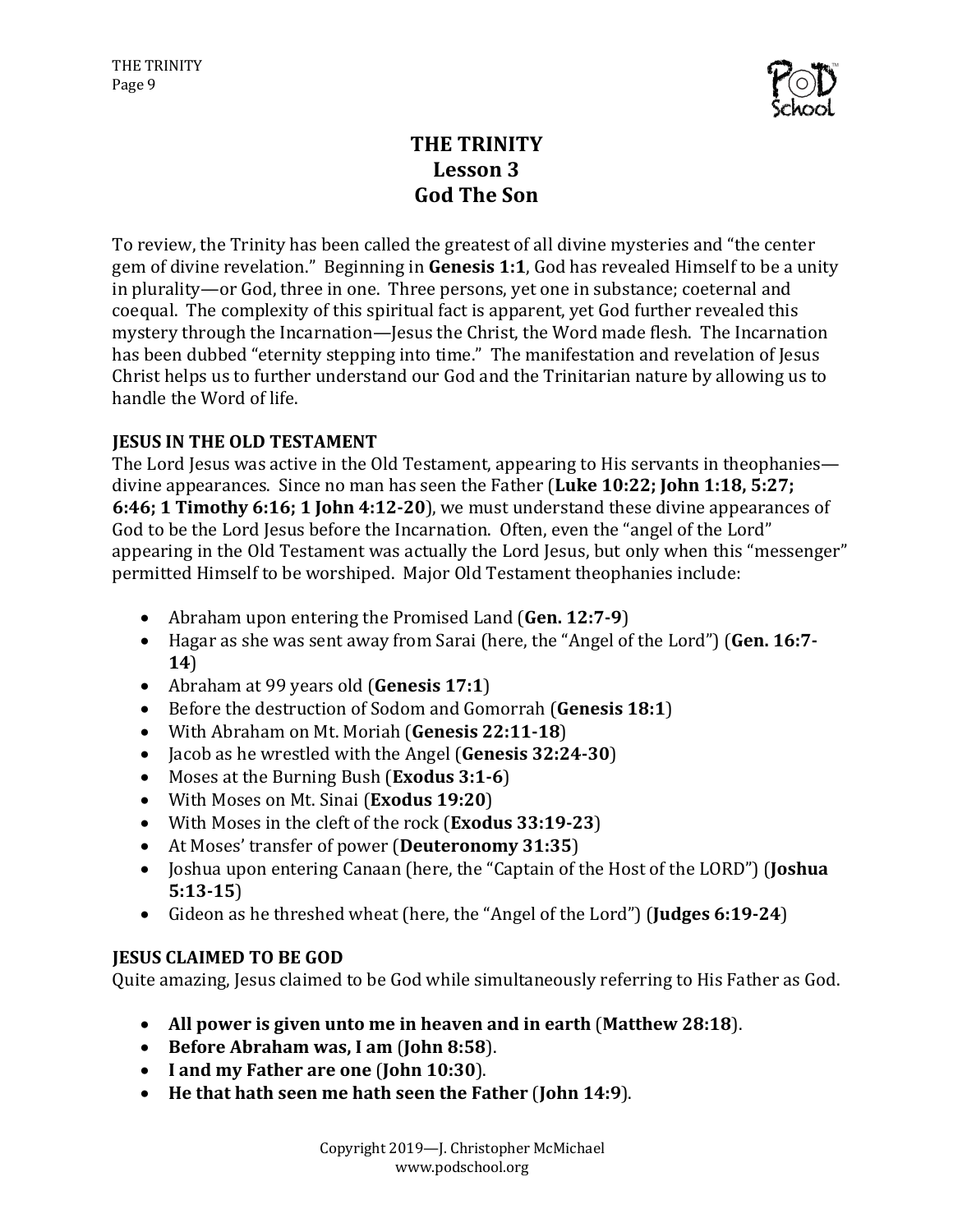

# **THE TRINITY Lesson 3 God The Son**

To review, the Trinity has been called the greatest of all divine mysteries and "the center" gem of divine revelation." Beginning in **Genesis 1:1**, God has revealed Himself to be a unity in plurality—or God, three in one. Three persons, yet one in substance; coeternal and coequal. The complexity of this spiritual fact is apparent, yet God further revealed this mystery through the Incarnation—Jesus the Christ, the Word made flesh. The Incarnation has been dubbed "eternity stepping into time." The manifestation and revelation of Jesus Christ helps us to further understand our God and the Trinitarian nature by allowing us to handle the Word of life.

## **JESUS IN THE OLD TESTAMENT**

The Lord Iesus was active in the Old Testament, appearing to His servants in theophanies divine appearances. Since no man has seen the Father (Luke 10:22; John 1:18, 5:27; **6:46; 1 Timothy 6:16; 1 John 4:12-20**), we must understand these divine appearances of God to be the Lord Jesus before the Incarnation. Often, even the "angel of the Lord" appearing in the Old Testament was actually the Lord Jesus, but only when this "messenger" permitted Himself to be worshiped. Major Old Testament theophanies include:

- Abraham upon entering the Promised Land (Gen. 12:7-9)
- Hagar as she was sent away from Sarai (here, the "Angel of the Lord") (Gen. 16:7-**14**)
- Abraham at 99 years old (**Genesis 17:1**)
- Before the destruction of Sodom and Gomorrah (Genesis 18:1)
- With Abraham on Mt. Moriah (Genesis 22:11-18)
- Jacob as he wrestled with the Angel (**Genesis 32:24-30**)
- Moses at the Burning Bush (**Exodus** 3:1-6)
- With Moses on Mt. Sinai (**Exodus 19:20**)
- With Moses in the cleft of the rock (**Exodus 33:19-23**)
- At Moses' transfer of power (Deuteronomy 31:35)
- Joshua upon entering Canaan (here, the "Captain of the Host of the LORD") (**Joshua 5:13-15**)
- Gideon as he threshed wheat (here, the "Angel of the Lord") (**Judges 6:19-24**)

#### **JESUS CLAIMED TO BE GOD**

Quite amazing, Jesus claimed to be God while simultaneously referring to His Father as God.

- All power is given unto me in heaven and in earth (Matthew 28:18).
- Before Abraham was, I am (John 8:58).
- I and my Father are one (John 10:30).
- He that hath seen me hath seen the Father (John 14:9).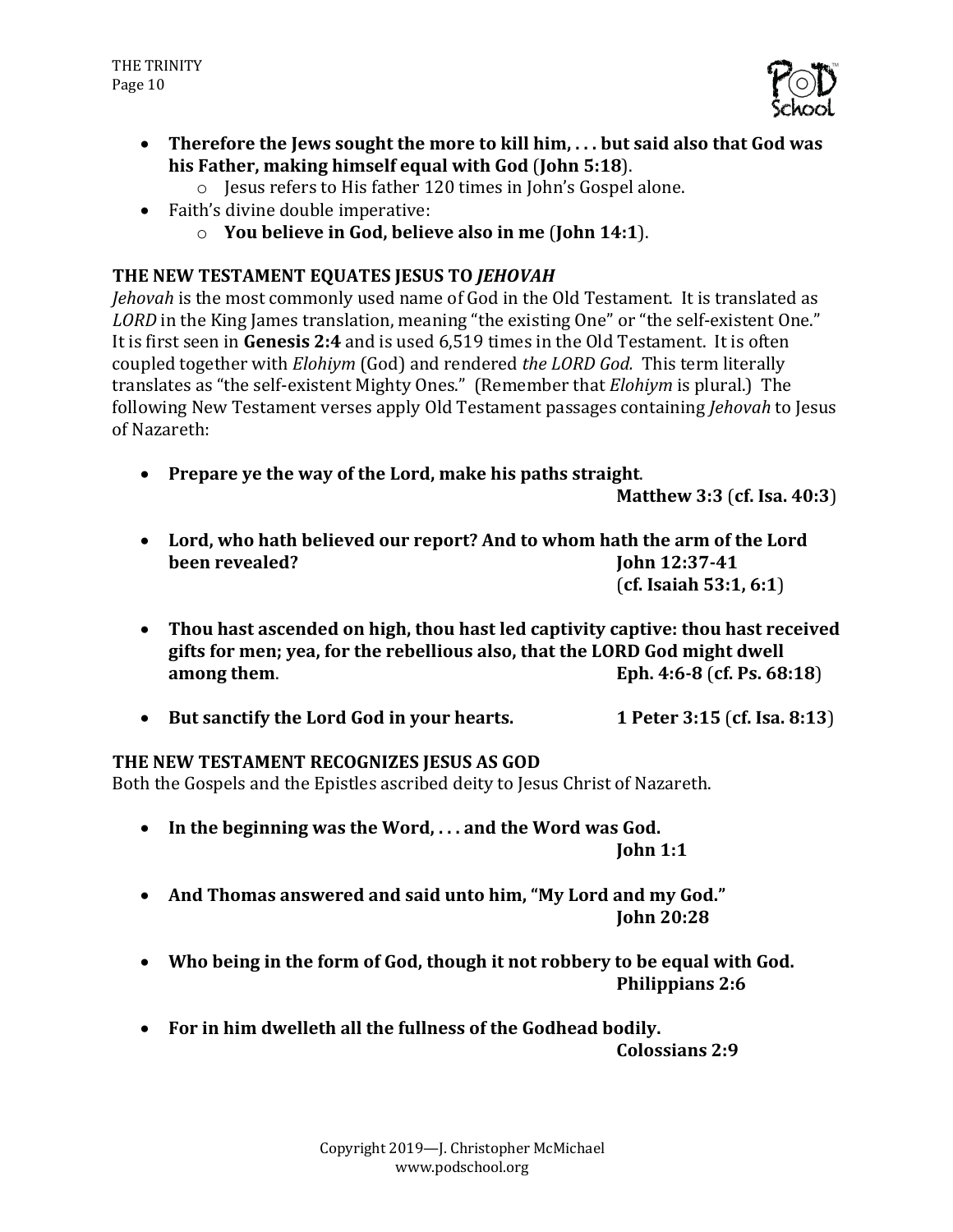

- Therefore the lews sought the more to kill him, ... but said also that God was his Father, making himself equal with God (John 5:18).
	- $\circ$  Jesus refers to His father 120 times in John's Gospel alone.
- Faith's divine double imperative:
	- o **You believe in God, believe also in me** (**John 14:1**).

## THE NEW TESTAMENT EQUATES JESUS TO *JEHOVAH*

*Jehovah* is the most commonly used name of God in the Old Testament. It is translated as LORD in the King James translation, meaning "the existing One" or "the self-existent One." It is first seen in Genesis 2:4 and is used 6,519 times in the Old Testament. It is often coupled together with *Elohiym* (God) and rendered *the LORD God.* This term literally translates as "the self-existent Mighty Ones." (Remember that *Elohiym* is plural.) The following New Testament verses apply Old Testament passages containing *Jehovah* to Jesus of Nazareth:

• Prepare ye the way of the Lord, make his paths straight.

**Matthew 3:3** (**cf. Isa. 40:3**)

- Lord, who hath believed our report? And to whom hath the arm of the Lord **been revealed? John** 12:37-41 (**cf. Isaiah 53:1, 6:1**)
- Thou hast ascended on high, thou hast led captivity captive: thou hast received gifts for men; yea, for the rebellious also, that the LORD God might dwell **among them. Eph.** 4:6-8 (**cf.** Ps. 68:18)
- But sanctify the Lord God in your hearts. 1 Peter 3:15 (cf. Isa. 8:13)

#### THE NEW TESTAMENT RECOGNIZES JESUS AS GOD

Both the Gospels and the Epistles ascribed deity to Jesus Christ of Nazareth.

- In the beginning was the Word, ... and the Word was God. **John 1:1**
- And Thomas answered and said unto him, "My Lord and my God." **John 20:28**
- Who being in the form of God, though it not robbery to be equal with God. **Philippians 2:6**
- For in him dwelleth all the fullness of the Godhead bodily.

**Colossians 2:9**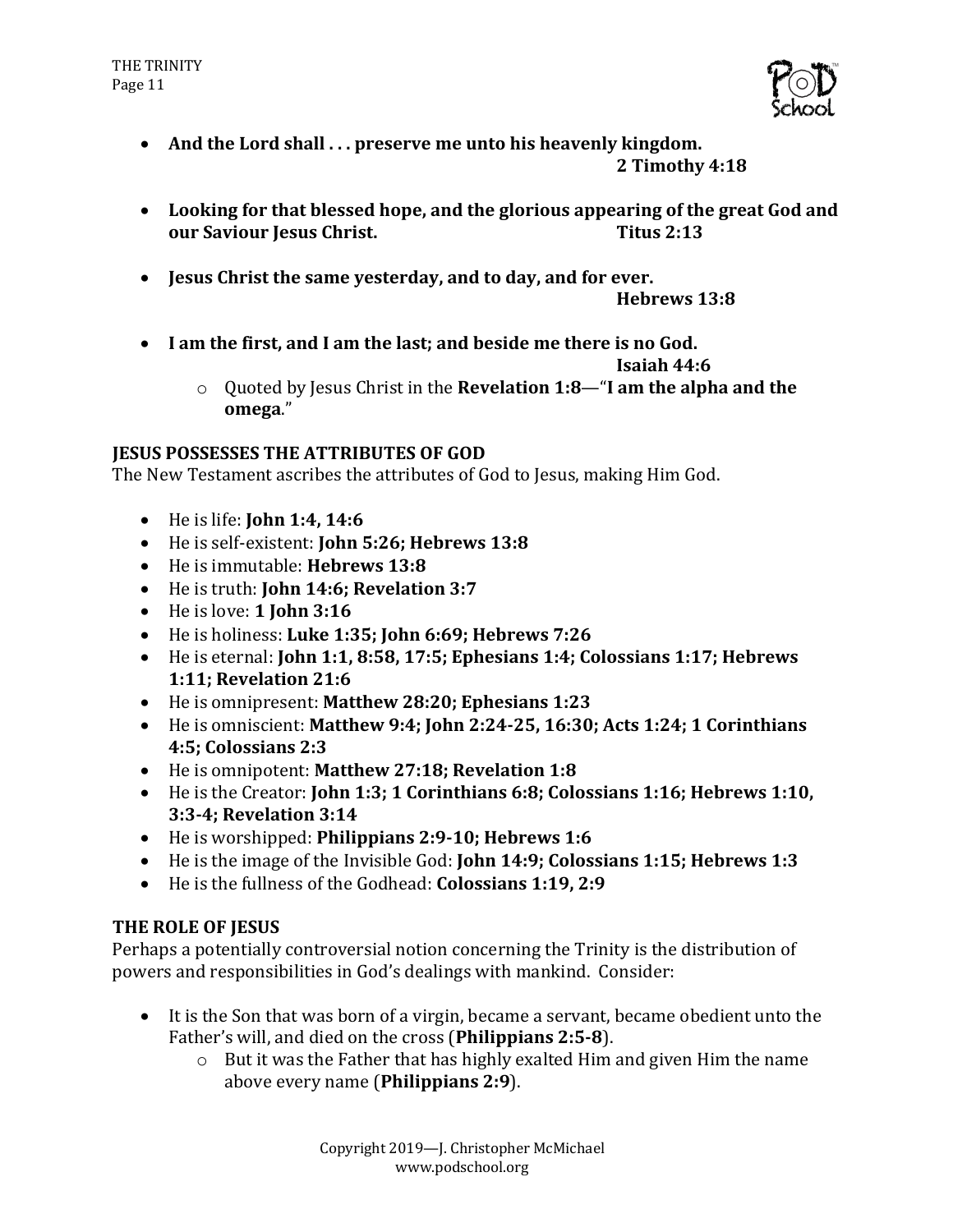

- And the Lord shall ... preserve me unto his heavenly kingdom.
	- **2 Timothy 4:18**
- Looking for that blessed hope, and the glorious appearing of the great God and **our Saviour Jesus Christ. Titus 2:13**
- **Jesus Christ the same yesterday, and to day, and for ever.**

**Hebrews 13:8**

• I am the first, and I am the last; and beside me there is no God.

**Isaiah 44:6** 

o Quoted by Jesus Christ in the **Revelation 1:8—"I am the alpha and the omega**."

#### **JESUS POSSESSES THE ATTRIBUTES OF GOD**

The New Testament ascribes the attributes of God to Jesus, making Him God.

- He is life: **John 1:4, 14:6**
- He is self-existent: **John 5:26: Hebrews 13:8**
- He is immutable: **Hebrews** 13:8
- He is truth: **John 14:6; Revelation 3:7**
- $\bullet$  He is love: **1 John 3:16**
- He is holiness: Luke 1:35; John 6:69; Hebrews 7:26
- He is eternal: **John 1:1, 8:58, 17:5; Ephesians 1:4; Colossians 1:17; Hebrews 1:11; Revelation 21:6**
- He is omnipresent: Matthew 28:20; Ephesians 1:23
- He is omniscient: Matthew 9:4; John 2:24-25, 16:30; Acts 1:24; 1 Corinthians **4:5; Colossians 2:3**
- He is omnipotent: Matthew 27:18; Revelation 1:8
- He is the Creator: **John 1:3; 1 Corinthians 6:8; Colossians 1:16; Hebrews 1:10, 3:3-4; Revelation 3:14**
- He is worshipped: **Philippians 2:9-10; Hebrews 1:6**
- He is the image of the Invisible God: **John 14:9; Colossians 1:15; Hebrews 1:3**
- He is the fullness of the Godhead: **Colossians 1:19, 2:9**

# **THE ROLE OF IESUS**

Perhaps a potentially controversial notion concerning the Trinity is the distribution of powers and responsibilities in God's dealings with mankind. Consider:

- It is the Son that was born of a virgin, became a servant, became obedient unto the Father's will, and died on the cross (Philippians 2:5-8).
	- $\circ$  But it was the Father that has highly exalted Him and given Him the name above every name (**Philippians 2:9**).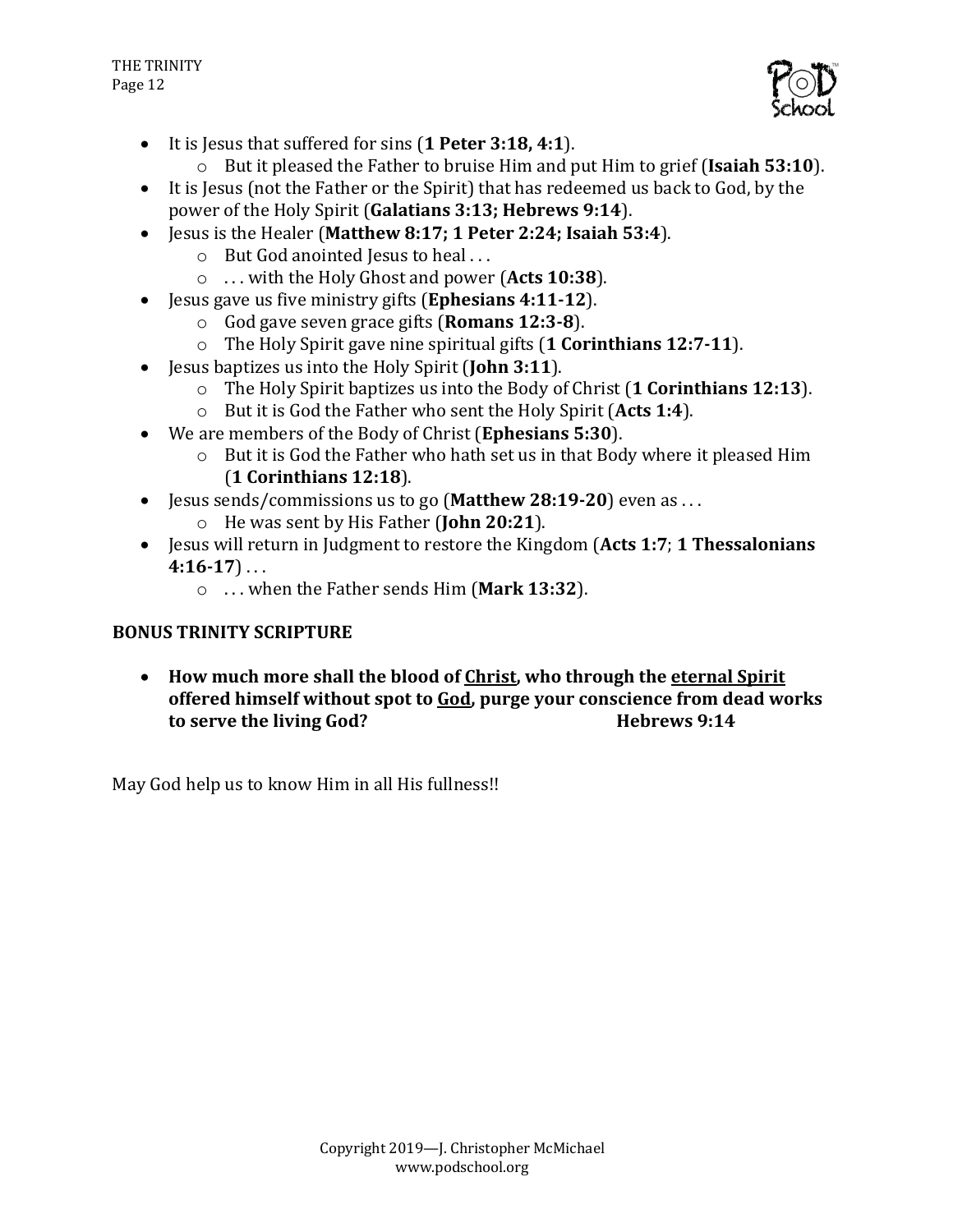

- It is lesus that suffered for sins (1 Peter 3:18, 4:1).
	- $\circ$  But it pleased the Father to bruise Him and put Him to grief (**Isaiah 53:10**).
- It is Jesus (not the Father or the Spirit) that has redeemed us back to God, by the power of the Holy Spirit (**Galatians 3:13; Hebrews 9:14**).
- Iesus is the Healer (Matthew 8:17: 1 Peter 2:24: Isaiah 53:4).
	- $\circ$  But God anointed Jesus to heal ...
	- o ... with the Holy Ghost and power (Acts 10:38).
- Jesus gave us five ministry gifts (**Ephesians 4:11-12**).
	- o God gave seven grace gifts (**Romans 12:3-8**).
	- $\circ$  The Holy Spirit gave nine spiritual gifts  $(1$  Corinthians 12:7-11).
- Jesus baptizes us into the Holy Spirit (**John 3:11**).
	- o The Holy Spirit baptizes us into the Body of Christ (1 **Corinthians 12:13**).
	- o But it is God the Father who sent the Holy Spirit (Acts 1:4).
- We are members of the Body of Christ (**Ephesians 5:30**).
	- $\circ$  But it is God the Father who hath set us in that Body where it pleased Him (**1 Corinthians 12:18**).
- Jesus sends/commissions us to go (Matthew 28:19-20) even as ...
	- o He was sent by His Father (**John 20:21**).
- Jesus will return in Judgment to restore the Kingdom (Acts 1:7; 1 Thessalonians  $4:16-17$ ...
	- o ... when the Father sends Him (Mark 13:32).

# **BONUS TRINITY SCRIPTURE**

• How much more shall the blood of Christ, who through the eternal Spirit offered himself without spot to **God**, purge your conscience from dead works to serve the living God? **Hebrews** 9:14

May God help us to know Him in all His fullness!!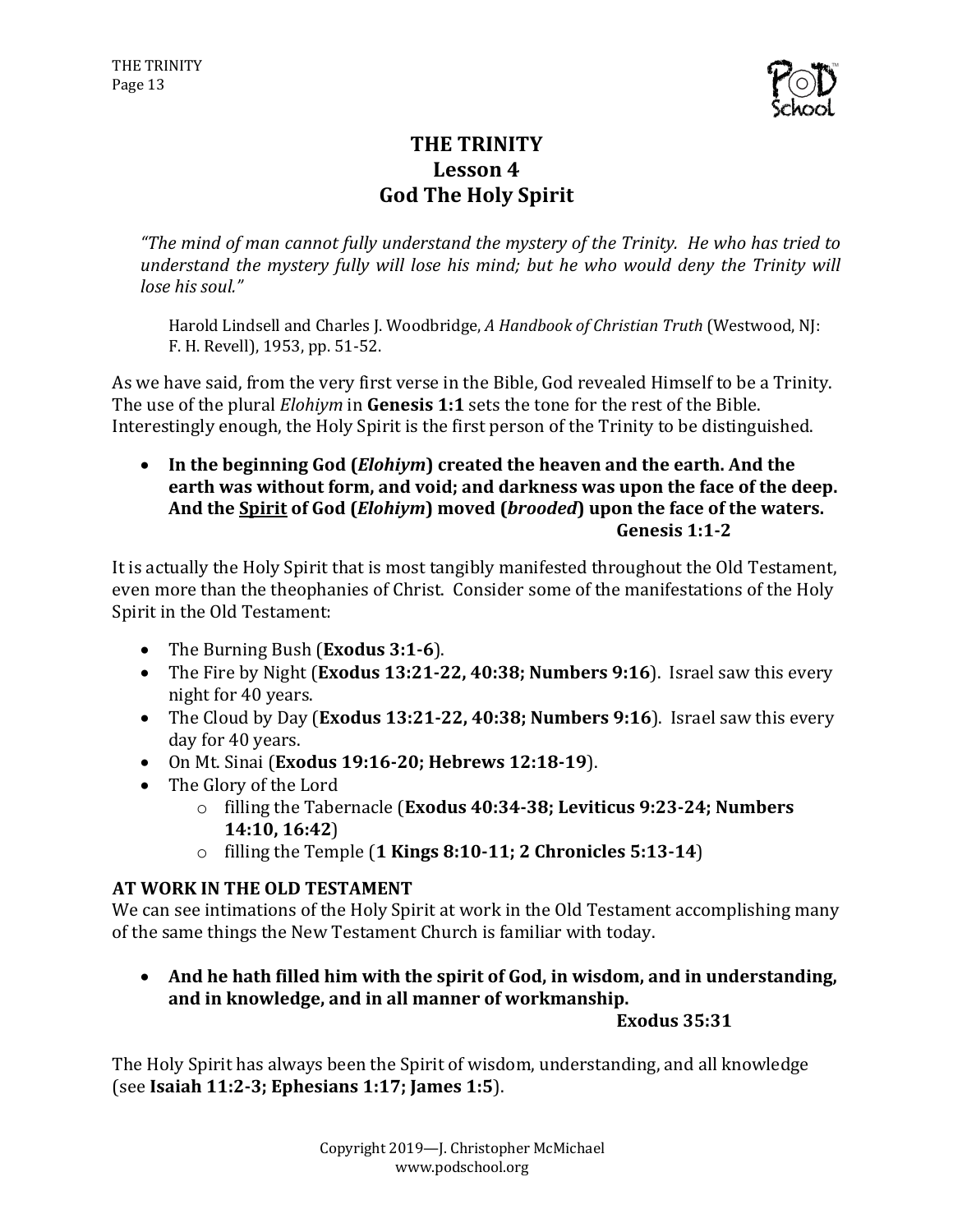

# **THE TRINITY** Lesson 4 **God The Holy Spirit**

"The mind of man cannot fully understand the mystery of the Trinity. He who has tried to *understand the mystery fully will lose his mind; but he who would deny the Trinity will lose his soul."* 

Harold Lindsell and Charles J. Woodbridge, *A Handbook of Christian Truth* (Westwood, NJ: F. H. Revell), 1953, pp. 51-52.

As we have said, from the very first verse in the Bible, God revealed Himself to be a Trinity. The use of the plural *Elohiym* in **Genesis 1:1** sets the tone for the rest of the Bible. Interestingly enough, the Holy Spirit is the first person of the Trinity to be distinguished.

• In the beginning God (*Elohiym*) created the heaven and the earth. And the earth was without form, and void; and darkness was upon the face of the deep. And the Spirit of God (*Elohiym*) moved (*brooded*) upon the face of the waters. **Genesis 1:1-2**

It is actually the Holy Spirit that is most tangibly manifested throughout the Old Testament, even more than the theophanies of Christ. Consider some of the manifestations of the Holy Spirit in the Old Testament:

- The Burning Bush (**Exodus** 3:1-6).
- The Fire by Night (Exodus 13:21-22, 40:38; Numbers 9:16). Israel saw this every night for 40 years.
- The Cloud by Day (Exodus 13:21-22, 40:38; Numbers 9:16). Israel saw this every day for 40 years.
- On Mt. Sinai (**Exodus 19:16-20; Hebrews 12:18-19**).
- The Glory of the Lord
	- o filling the Tabernacle (**Exodus 40:34-38; Leviticus 9:23-24; Numbers 14:10, 16:42**)
	- o filling the Temple (**1 Kings 8:10-11; 2 Chronicles 5:13-14**)

# **AT WORK IN THE OLD TESTAMENT**

We can see intimations of the Holy Spirit at work in the Old Testament accomplishing many of the same things the New Testament Church is familiar with today.

• And he hath filled him with the spirit of God, in wisdom, and in understanding, and in knowledge, and in all manner of workmanship.

**Exodus 35:31**

The Holy Spirit has always been the Spirit of wisdom, understanding, and all knowledge (see **Isaiah 11:2-3; Ephesians 1:17; James 1:5**).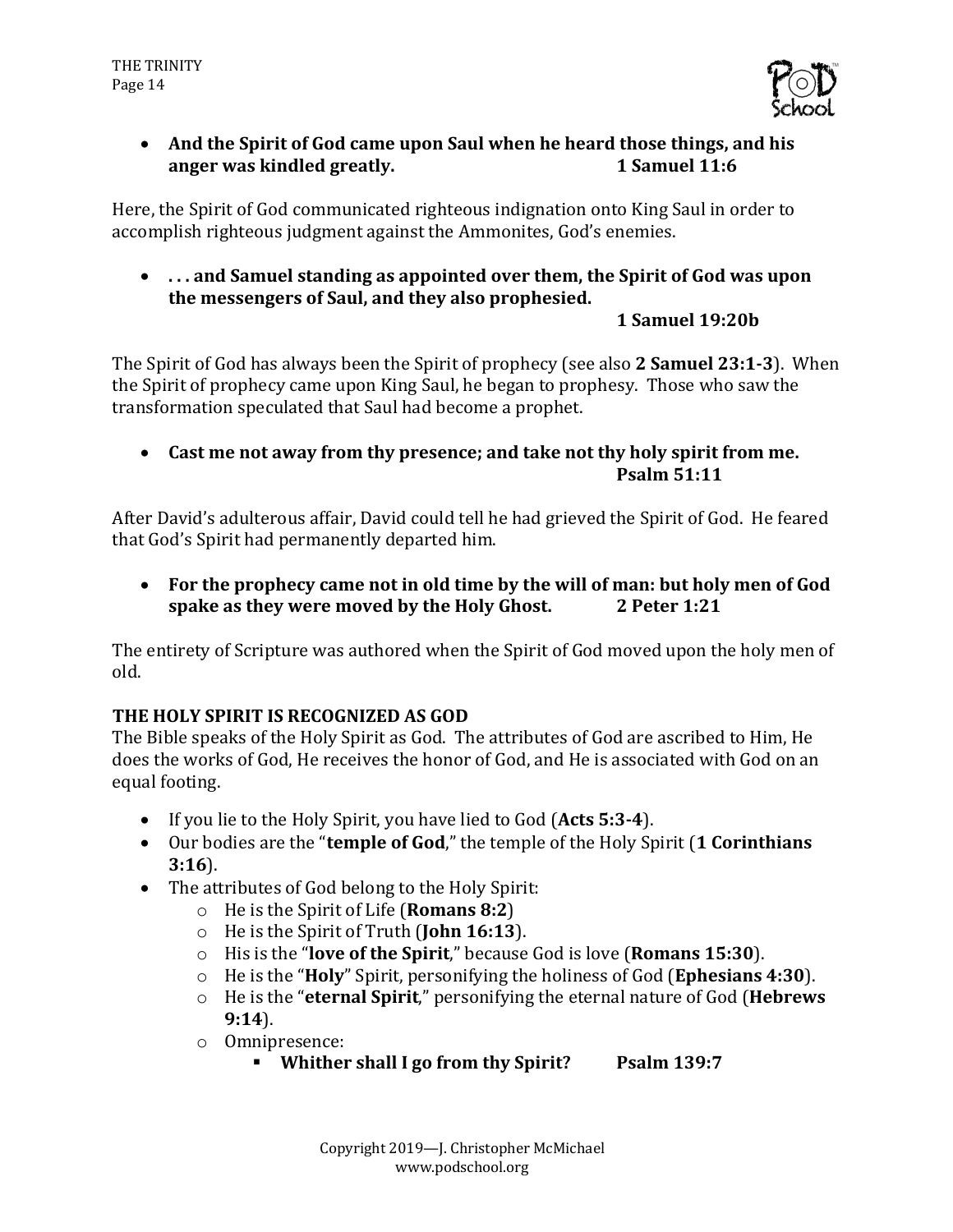

• And the Spirit of God came upon Saul when he heard those things, and his **anger** was kindled greatly. **1** Samuel 11:6

Here, the Spirit of God communicated righteous indignation onto King Saul in order to accomplish righteous judgment against the Ammonites, God's enemies.

• ... and Samuel standing as appointed over them, the Spirit of God was upon the messengers of Saul, and they also prophesied.

# **1 Samuel 19:20b**

The Spirit of God has always been the Spirit of prophecy (see also 2 **Samuel 23:1-3**). When the Spirit of prophecy came upon King Saul, he began to prophesy. Those who saw the transformation speculated that Saul had become a prophet.

• Cast me not away from thy presence; and take not thy holy spirit from me. **Psalm 51:11**

After David's adulterous affair, David could tell he had grieved the Spirit of God. He feared that God's Spirit had permanently departed him.

• For the prophecy came not in old time by the will of man: but holy men of God **spake as they were moved by the Holy Ghost.** 2 Peter 1:21

The entirety of Scripture was authored when the Spirit of God moved upon the holy men of old.

# **THE HOLY SPIRIT IS RECOGNIZED AS GOD**

The Bible speaks of the Holy Spirit as God. The attributes of God are ascribed to Him, He does the works of God, He receives the honor of God, and He is associated with God on an equal footing.

- If you lie to the Holy Spirit, you have lied to God (Acts 5:3-4).
- Our bodies are the "**temple of God**," the temple of the Holy Spirit (1 **Corinthians 3:16**).
- The attributes of God belong to the Holy Spirit:
	- o He is the Spirit of Life (**Romans 8:2**)
	- $\circ$  He is the Spirit of Truth (**John 16:13**).
	- $\circ$  His is the "**love of the Spirit**," because God is love (**Romans 15:30**).
	- $\circ$  He is the "**Holy**" Spirit, personifying the holiness of God (**Ephesians** 4:30).
	- o He is the "**eternal Spirit**," personifying the eternal nature of God (**Hebrews**) **9:14**).
	- o Omnipresence:
		- § **Whither shall I go from thy Spirit? Psalm 139:7**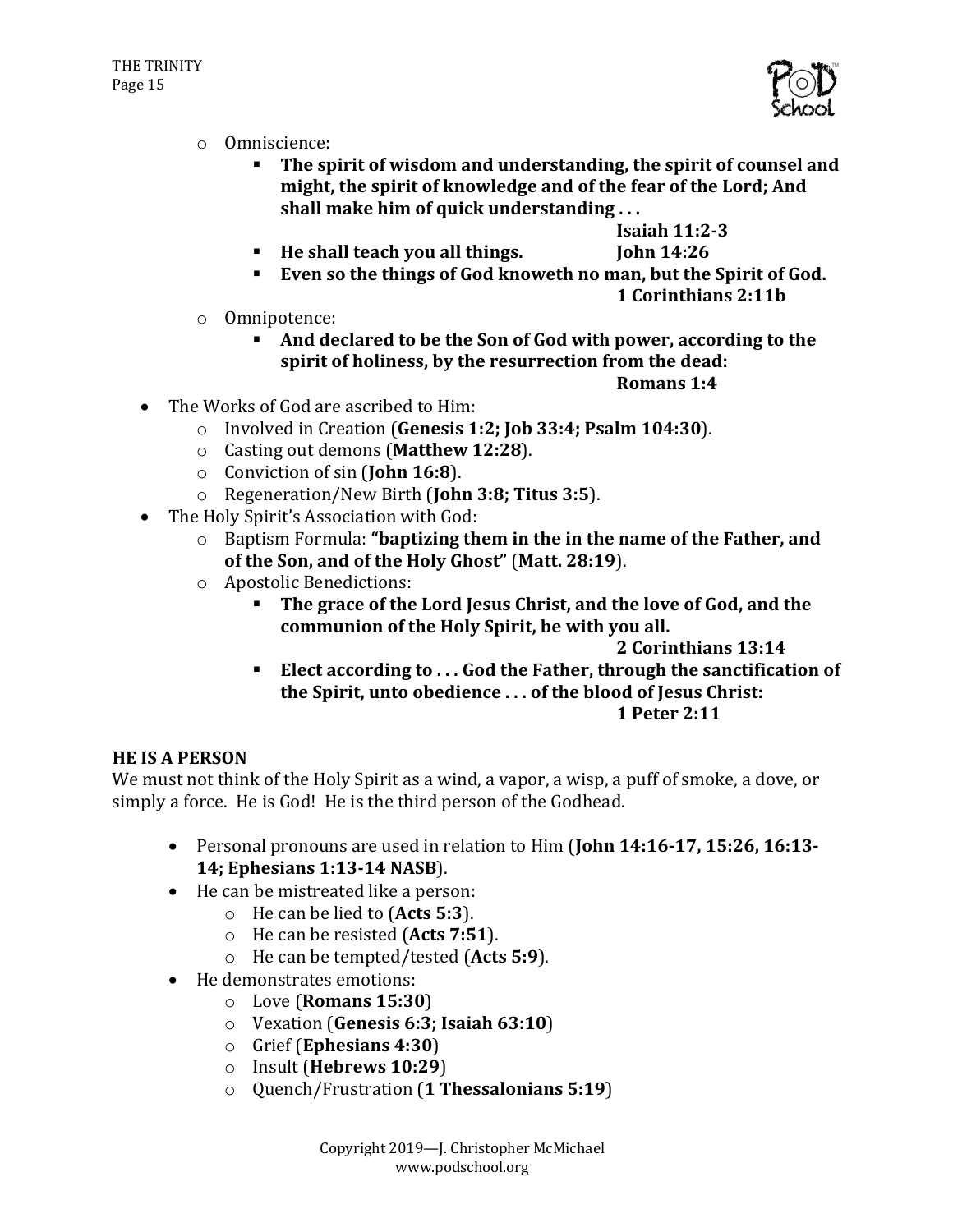

- o Omniscience:
	- The spirit of wisdom and understanding, the spirit of counsel and might, the spirit of knowledge and of the fear of the Lord; And shall make him of quick understanding ...

**Isaiah 11:2-3**

- **Example 1** He shall teach you all things. [ohn 14:26]
- **Even so the things of God knoweth no man, but the Spirit of God.** 
	- **1 Corinthians 2:11b**
- o Omnipotence:
	- **EXECUTE:** And declared to be the Son of God with power, according to the spirit of holiness, by the resurrection from the dead:
		- **Romans 1:4**

- The Works of God are ascribed to Him:
	- o Involved in Creation (Genesis 1:2; Job 33:4; Psalm 104:30).
	- o Casting out demons (**Matthew 12:28**).
	- o Conviction of sin (**John 16:8**).
	- o Regeneration/New Birth (**John 3:8; Titus 3:5**).
- The Holy Spirit's Association with God:
	- o Baptism Formula: "**baptizing them in the in the name of the Father, and** of the Son, and of the Holy Ghost" (Matt. 28:19).
	- o Apostolic Benedictions:
		- **FILE** The grace of the Lord Jesus Christ, and the love of God, and the communion of the Holy Spirit, be with you all.

**2 Corinthians 13:14**

Elect according to . . . God the Father, through the sanctification of the Spirit, unto obedience ... of the blood of Jesus Christ: **1 Peter 2:11**

#### **HE IS A PERSON**

We must not think of the Holy Spirit as a wind, a vapor, a wisp, a puff of smoke, a dove, or simply a force. He is God! He is the third person of the Godhead.

- Personal pronouns are used in relation to Him (John 14:16-17, 15:26, 16:13-**14; Ephesians 1:13-14 NASB**).
- He can be mistreated like a person:
	- o He can be lied to (Acts 5:3).
	- o He can be resisted (Acts 7:51).
	- o He can be tempted/tested (Acts 5:9).
- He demonstrates emotions:
	- o Love (**Romans 15:30**)
	- o Vexation (**Genesis 6:3; Isaiah 63:10**)
	- o Grief (**Ephesians 4:30**)
	- o Insult (**Hebrews 10:29**)
	- o Quench/Frustration (**1 Thessalonians 5:19**)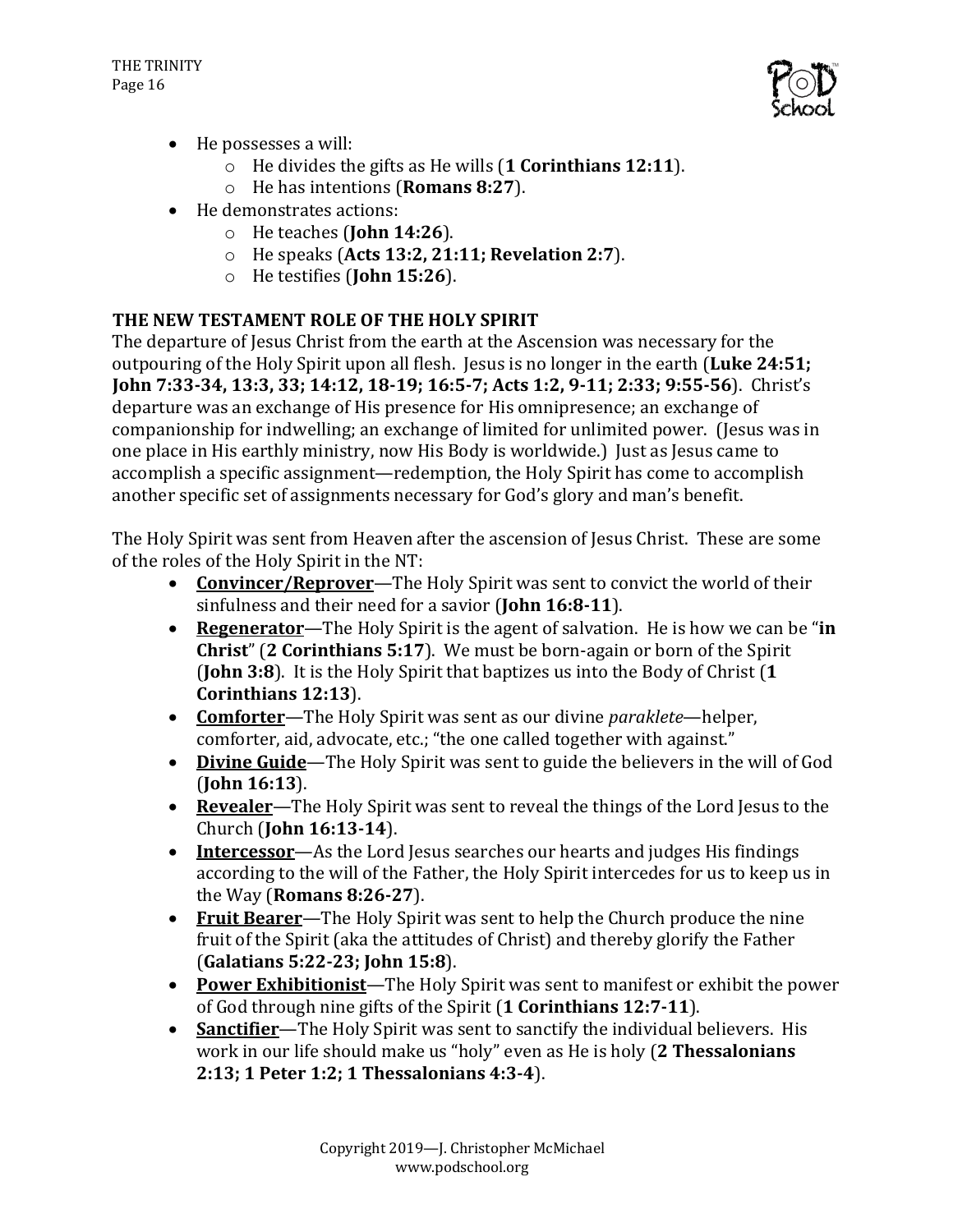

- $\bullet$  He possesses a will:
	- o He divides the gifts as He wills (**1 Corinthians 12:11**).
	- o He has intentions (**Romans 8:27**).
- He demonstrates actions:
	- o He teaches (**John 14:26**).
	- o He speaks (**Acts 13:2, 21:11; Revelation 2:7**).
	- o He testifies (**John 15:26**).

# THE NEW TESTAMENT ROLE OF THE HOLY SPIRIT

The departure of Jesus Christ from the earth at the Ascension was necessary for the outpouring of the Holy Spirit upon all flesh. Jesus is no longer in the earth (Luke 24:51; **John 7:33-34, 13:3, 33; 14:12, 18-19; 16:5-7; Acts 1:2, 9-11; 2:33; 9:55-56**). Christ's departure was an exchange of His presence for His omnipresence; an exchange of companionship for indwelling; an exchange of limited for unlimited power. (Jesus was in one place in His earthly ministry, now His Body is worldwide.) Just as Jesus came to accomplish a specific assignment—redemption, the Holy Spirit has come to accomplish another specific set of assignments necessary for God's glory and man's benefit.

The Holy Spirit was sent from Heaven after the ascension of Jesus Christ. These are some of the roles of the Holy Spirit in the NT:

- **Convincer/Reprover**—The Holy Spirit was sent to convict the world of their sinfulness and their need for a savior (**John 16:8-11**).
- **Regenerator**—The Holy Spirit is the agent of salvation. He is how we can be "in **Christ**" (2 **Corinthians** 5:17). We must be born-again or born of the Spirit (**John 3:8**). It is the Holy Spirit that baptizes us into the Body of Christ (1 **Corinthians 12:13**).
- **Comforter**—The Holy Spirit was sent as our divine *paraklete*—helper, comforter, aid, advocate, etc.; "the one called together with against."
- Divine Guide-The Holy Spirit was sent to guide the believers in the will of God (**John 16:13**).
- Revealer-The Holy Spirit was sent to reveal the things of the Lord Jesus to the Church (**John 16:13-14**).
- **Intercessor**—As the Lord Jesus searches our hearts and judges His findings according to the will of the Father, the Holy Spirit intercedes for us to keep us in the Way (**Romans 8:26-27**).
- **Fruit Bearer**—The Holy Spirit was sent to help the Church produce the nine fruit of the Spirit (aka the attitudes of Christ) and thereby glorify the Father (**Galatians 5:22-23; John 15:8**).
- **Power Exhibitionist**—The Holy Spirit was sent to manifest or exhibit the power of God through nine gifts of the Spirit (1 **Corinthians** 12:7-11).
- **Sanctifier**—The Holy Spirit was sent to sanctify the individual believers. His work in our life should make us "holy" even as He is holy (2 Thessalonians **2:13; 1 Peter 1:2; 1 Thessalonians 4:3-4**).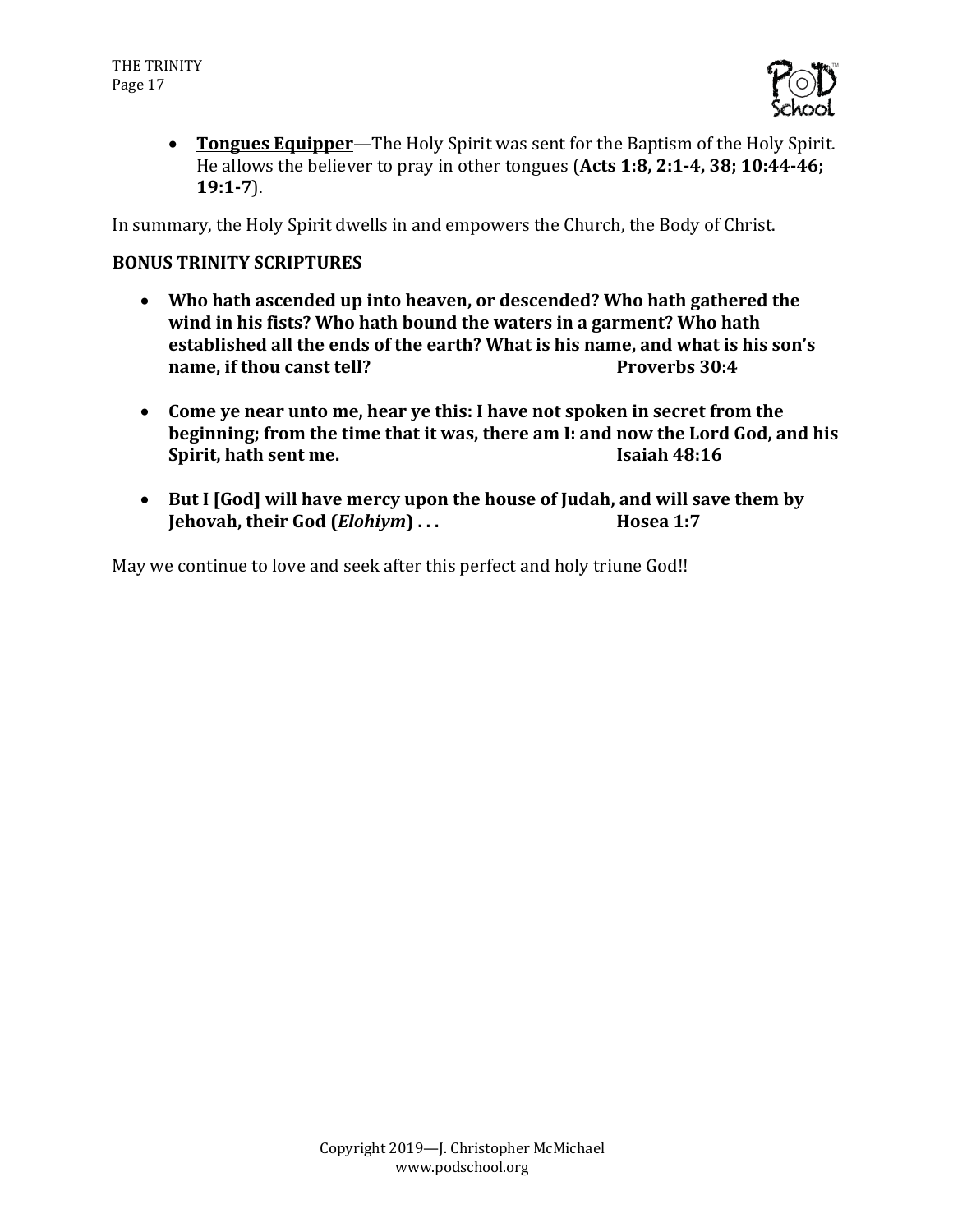

• Tongues Equipper—The Holy Spirit was sent for the Baptism of the Holy Spirit. He allows the believer to pray in other tongues (Acts 1:8, 2:1-4, 38; 10:44-46; **19:1-7**).

In summary, the Holy Spirit dwells in and empowers the Church, the Body of Christ.

#### **BONUS TRINITY SCRIPTURES**

- Who hath ascended up into heaven, or descended? Who hath gathered the wind in his fists? Who hath bound the waters in a garment? Who hath established all the ends of the earth? What is his name, and what is his son's **name, if thou canst tell? Proverbs 30:4**
- Come ye near unto me, hear ye this: I have not spoken in secret from the **beginning; from the time that it was, there am I: and now the Lord God, and his Spirit, hath sent me. Isaiah 48:16**
- But I [God] will have mercy upon the house of Judah, and will save them by **Iehovah, their God (***Elohiym***) ... Hosea 1:7**

May we continue to love and seek after this perfect and holy triune God!!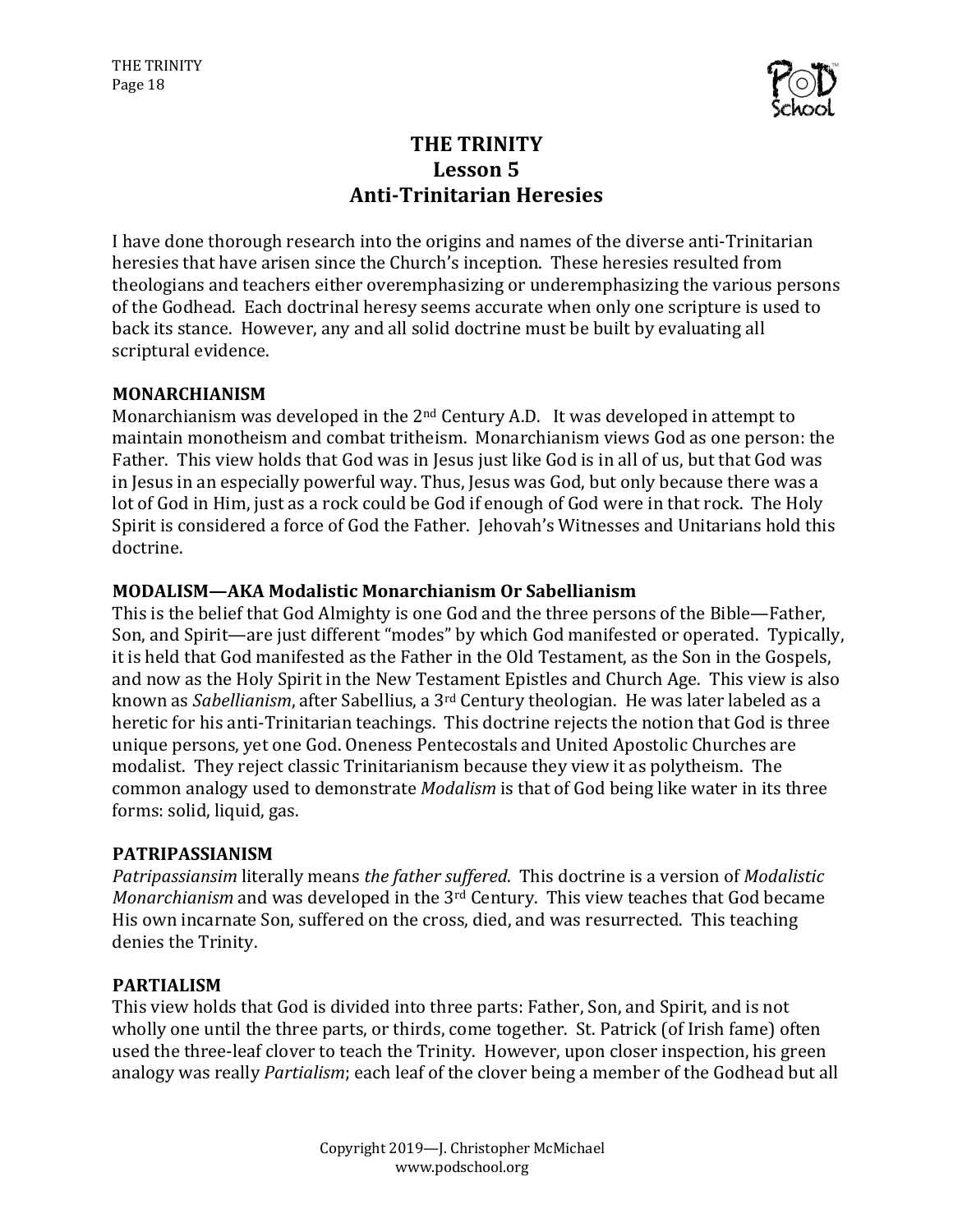

# **THE TRINITY** Lesson 5 **Anti-Trinitarian Heresies**

I have done thorough research into the origins and names of the diverse anti-Trinitarian heresies that have arisen since the Church's inception. These heresies resulted from theologians and teachers either overemphasizing or underemphasizing the various persons of the Godhead. Each doctrinal heresy seems accurate when only one scripture is used to back its stance. However, any and all solid doctrine must be built by evaluating all scriptural evidence.

#### **MONARCHIANISM**

Monarchianism was developed in the  $2<sup>nd</sup>$  Century A.D. It was developed in attempt to maintain monotheism and combat tritheism. Monarchianism views God as one person: the Father. This view holds that God was in Jesus just like God is in all of us, but that God was in Jesus in an especially powerful way. Thus, Jesus was God, but only because there was a lot of God in Him, just as a rock could be God if enough of God were in that rock. The Holy Spirit is considered a force of God the Father. Jehovah's Witnesses and Unitarians hold this doctrine.

#### **MODALISM—AKA Modalistic Monarchianism Or Sabellianism**

This is the belief that God Almighty is one God and the three persons of the Bible—Father, Son, and Spirit—are just different "modes" by which God manifested or operated. Typically, it is held that God manifested as the Father in the Old Testament, as the Son in the Gospels, and now as the Holy Spirit in the New Testament Epistles and Church Age. This view is also known as *Sabellianism*, after Sabellius, a 3<sup>rd</sup> Century theologian. He was later labeled as a heretic for his anti-Trinitarian teachings. This doctrine rejects the notion that God is three unique persons, yet one God. Oneness Pentecostals and United Apostolic Churches are modalist. They reject classic Trinitarianism because they view it as polytheism. The common analogy used to demonstrate *Modalism* is that of God being like water in its three forms: solid, liquid, gas.

#### **PATRIPASSIANISM**

*Patripassiansim* literally means *the father suffered*. This doctrine is a version of *Modalistic Monarchianism* and was developed in the 3<sup>rd</sup> Century. This view teaches that God became His own incarnate Son, suffered on the cross, died, and was resurrected. This teaching denies the Trinity.

#### **PARTIALISM**

This view holds that God is divided into three parts: Father, Son, and Spirit, and is not wholly one until the three parts, or thirds, come together. St. Patrick (of Irish fame) often used the three-leaf clover to teach the Trinity. However, upon closer inspection, his green analogy was really *Partialism*; each leaf of the clover being a member of the Godhead but all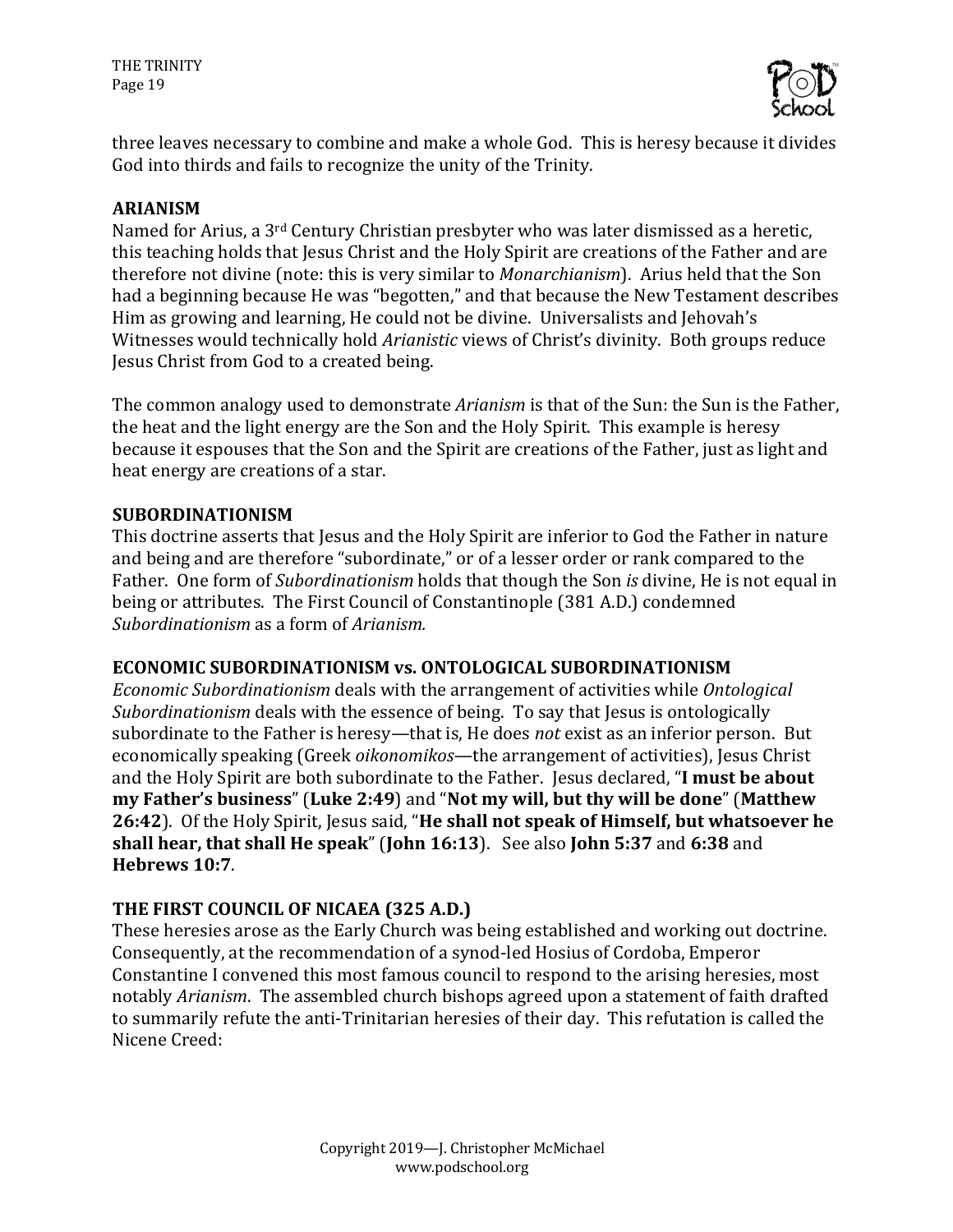

three leaves necessary to combine and make a whole God. This is heresy because it divides God into thirds and fails to recognize the unity of the Trinity.

#### **ARIANISM**

Named for Arius, a 3<sup>rd</sup> Century Christian presbyter who was later dismissed as a heretic, this teaching holds that Jesus Christ and the Holy Spirit are creations of the Father and are therefore not divine (note: this is very similar to *Monarchianism*). Arius held that the Son had a beginning because He was "begotten," and that because the New Testament describes Him as growing and learning, He could not be divine. Universalists and Jehovah's Witnesses would technically hold *Arianistic* views of Christ's divinity. Both groups reduce Jesus Christ from God to a created being.

The common analogy used to demonstrate *Arianism* is that of the Sun: the Sun is the Father, the heat and the light energy are the Son and the Holy Spirit. This example is heresy because it espouses that the Son and the Spirit are creations of the Father, just as light and heat energy are creations of a star.

#### **SUBORDINATIONISM**

This doctrine asserts that Jesus and the Holy Spirit are inferior to God the Father in nature and being and are therefore "subordinate," or of a lesser order or rank compared to the Father. One form of *Subordinationism* holds that though the Son *is* divine, He is not equal in being or attributes. The First Council of Constantinople (381 A.D.) condemned *Subordinationism* as a form of *Arianism*.

#### **ECONOMIC SUBORDINATIONISM vs. ONTOLOGICAL SUBORDINATIONISM**

*Economic Subordinationism* deals with the arrangement of activities while *Ontological Subordinationism* deals with the essence of being. To say that Jesus is ontologically subordinate to the Father is heresy—that is, He does *not* exist as an inferior person. But economically speaking (Greek *oikonomikos*—the arrangement of activities), Jesus Christ and the Holy Spirit are both subordinate to the Father. Jesus declared, "I must be about **my Father's business**" (**Luke 2:49**) and "**Not my will, but thy will be done**" (**Matthew** 26:42). Of the Holy Spirit, Jesus said, "He shall not speak of Himself, but whatsoever he **shall hear, that shall He speak"** (John 16:13). See also John 5:37 and 6:38 and **Hebrews 10:7**.

#### THE FIRST COUNCIL OF NICAEA (325 A.D.)

These heresies arose as the Early Church was being established and working out doctrine. Consequently, at the recommendation of a synod-led Hosius of Cordoba, Emperor Constantine I convened this most famous council to respond to the arising heresies, most notably *Arianism*. The assembled church bishops agreed upon a statement of faith drafted to summarily refute the anti-Trinitarian heresies of their day. This refutation is called the Nicene Creed: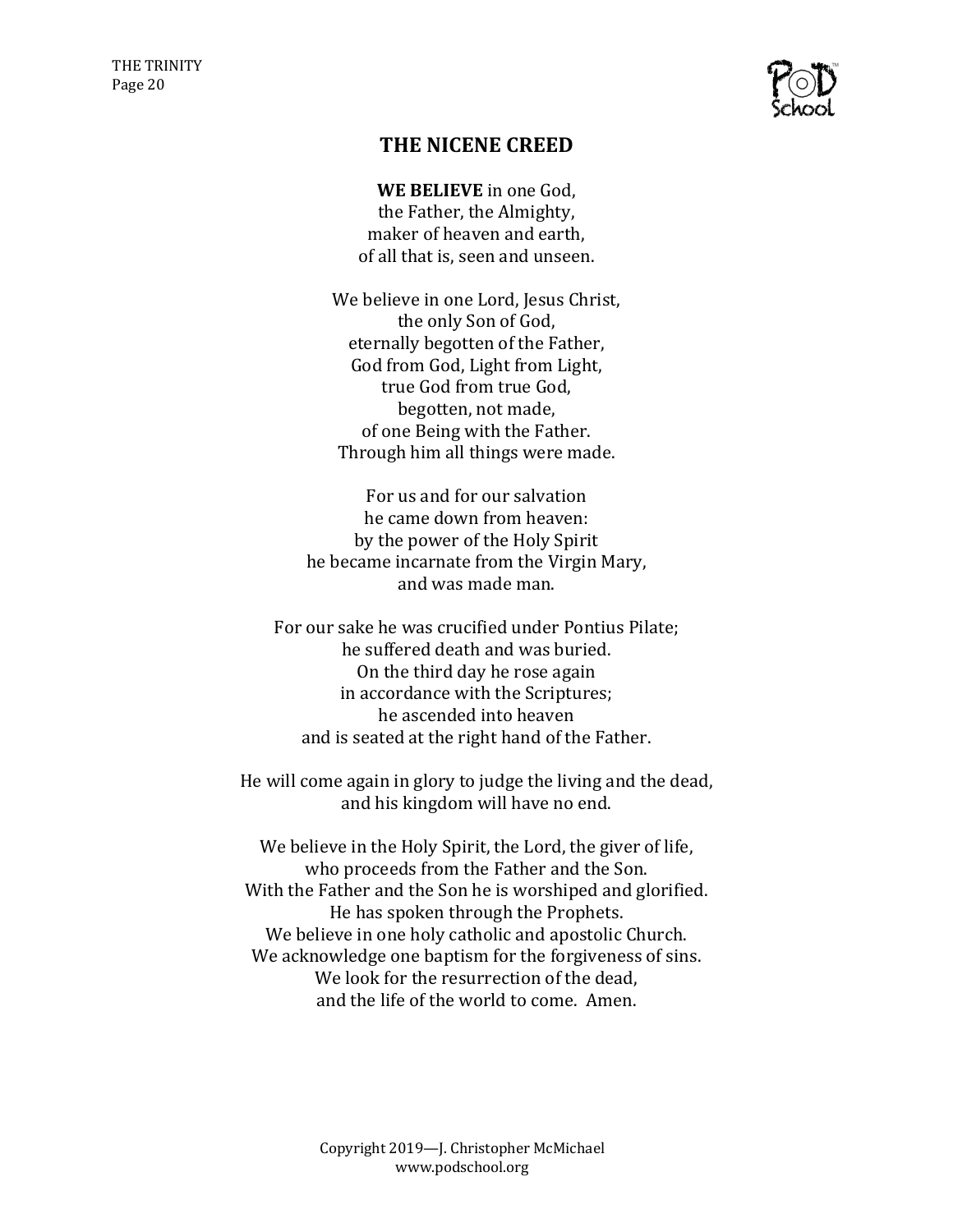

## **THE NICENE CREED**

**WE BELIEVE** in one God. the Father, the Almighty, maker of heaven and earth. of all that is, seen and unseen.

We believe in one Lord, Jesus Christ, the only Son of God, eternally begotten of the Father, God from God, Light from Light, true God from true God. begotten, not made, of one Being with the Father. Through him all things were made.

For us and for our salvation he came down from heaven: by the power of the Holy Spirit he became incarnate from the Virgin Mary, and was made man.

For our sake he was crucified under Pontius Pilate: he suffered death and was buried. On the third day he rose again in accordance with the Scriptures; he ascended into heaven and is seated at the right hand of the Father.

He will come again in glory to judge the living and the dead, and his kingdom will have no end.

We believe in the Holy Spirit, the Lord, the giver of life, who proceeds from the Father and the Son. With the Father and the Son he is worshiped and glorified. He has spoken through the Prophets. We believe in one holy catholic and apostolic Church. We acknowledge one baptism for the forgiveness of sins. We look for the resurrection of the dead. and the life of the world to come. Amen.